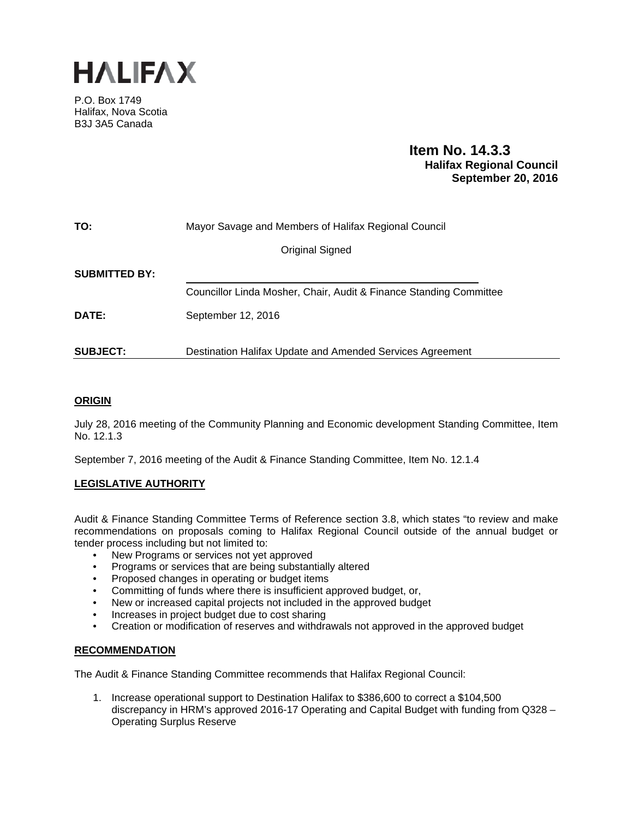

P.O. Box 1749 Halifax, Nova Scotia B3J 3A5 Canada

# **Item No. 14.3.3 Halifax Regional Council September 20, 2016**

| TO:                  | Mayor Savage and Members of Halifax Regional Council               |  |  |  |  |  |
|----------------------|--------------------------------------------------------------------|--|--|--|--|--|
|                      | Original Signed                                                    |  |  |  |  |  |
| <b>SUBMITTED BY:</b> |                                                                    |  |  |  |  |  |
|                      | Councillor Linda Mosher, Chair, Audit & Finance Standing Committee |  |  |  |  |  |
| DATE:                | September 12, 2016                                                 |  |  |  |  |  |
| <b>SUBJECT:</b>      | Destination Halifax Update and Amended Services Agreement          |  |  |  |  |  |

# **ORIGIN**

July 28, 2016 meeting of the Community Planning and Economic development Standing Committee, Item No. 12.1.3

September 7, 2016 meeting of the Audit & Finance Standing Committee, Item No. 12.1.4

# **LEGISLATIVE AUTHORITY**

Audit & Finance Standing Committee Terms of Reference section 3.8, which states "to review and make recommendations on proposals coming to Halifax Regional Council outside of the annual budget or tender process including but not limited to:

- New Programs or services not yet approved
- Programs or services that are being substantially altered
- Proposed changes in operating or budget items
- Committing of funds where there is insufficient approved budget, or,
- New or increased capital projects not included in the approved budget
- Increases in project budget due to cost sharing
- Creation or modification of reserves and withdrawals not approved in the approved budget

### **RECOMMENDATION**

The Audit & Finance Standing Committee recommends that Halifax Regional Council:

1. Increase operational support to Destination Halifax to \$386,600 to correct a \$104,500 discrepancy in HRM's approved 2016-17 Operating and Capital Budget with funding from Q328 – Operating Surplus Reserve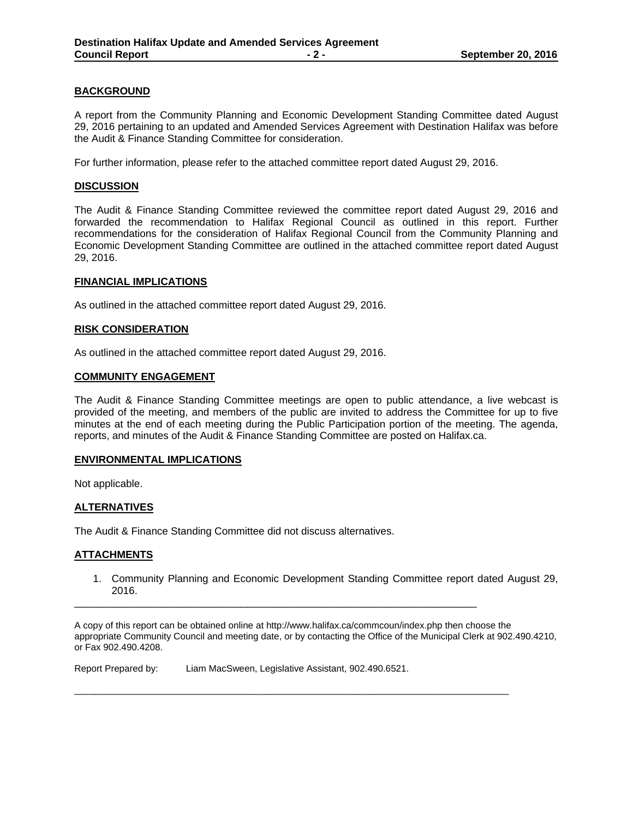## **BACKGROUND**

A report from the Community Planning and Economic Development Standing Committee dated August 29, 2016 pertaining to an updated and Amended Services Agreement with Destination Halifax was before the Audit & Finance Standing Committee for consideration.

For further information, please refer to the attached committee report dated August 29, 2016.

#### **DISCUSSION**

The Audit & Finance Standing Committee reviewed the committee report dated August 29, 2016 and forwarded the recommendation to Halifax Regional Council as outlined in this report. Further recommendations for the consideration of Halifax Regional Council from the Community Planning and Economic Development Standing Committee are outlined in the attached committee report dated August 29, 2016.

#### **FINANCIAL IMPLICATIONS**

As outlined in the attached committee report dated August 29, 2016.

#### **RISK CONSIDERATION**

As outlined in the attached committee report dated August 29, 2016.

#### **COMMUNITY ENGAGEMENT**

The Audit & Finance Standing Committee meetings are open to public attendance, a live webcast is provided of the meeting, and members of the public are invited to address the Committee for up to five minutes at the end of each meeting during the Public Participation portion of the meeting. The agenda, reports, and minutes of the Audit & Finance Standing Committee are posted on Halifax.ca.

### **ENVIRONMENTAL IMPLICATIONS**

Not applicable.

### **ALTERNATIVES**

The Audit & Finance Standing Committee did not discuss alternatives.

### **ATTACHMENTS**

1. Community Planning and Economic Development Standing Committee report dated August 29, 2016.

A copy of this report can be obtained online at http://www.halifax.ca/commcoun/index.php then choose the appropriate Community Council and meeting date, or by contacting the Office of the Municipal Clerk at 902.490.4210, or Fax 902.490.4208.

\_\_\_\_\_\_\_\_\_\_\_\_\_\_\_\_\_\_\_\_\_\_\_\_\_\_\_\_\_\_\_\_\_\_\_\_\_\_\_\_\_\_\_\_\_\_\_\_\_\_\_\_\_\_\_\_\_\_\_\_\_\_\_\_\_\_\_\_\_\_

\_\_\_\_\_\_\_\_\_\_\_\_\_\_\_\_\_\_\_\_\_\_\_\_\_\_\_\_\_\_\_\_\_\_\_\_\_\_\_\_\_\_\_\_\_\_\_\_\_\_\_\_\_\_\_\_\_\_\_\_\_\_\_\_\_\_\_\_\_\_\_\_\_\_\_\_\_\_\_\_\_\_\_\_

Report Prepared by: Liam MacSween, Legislative Assistant, 902.490.6521.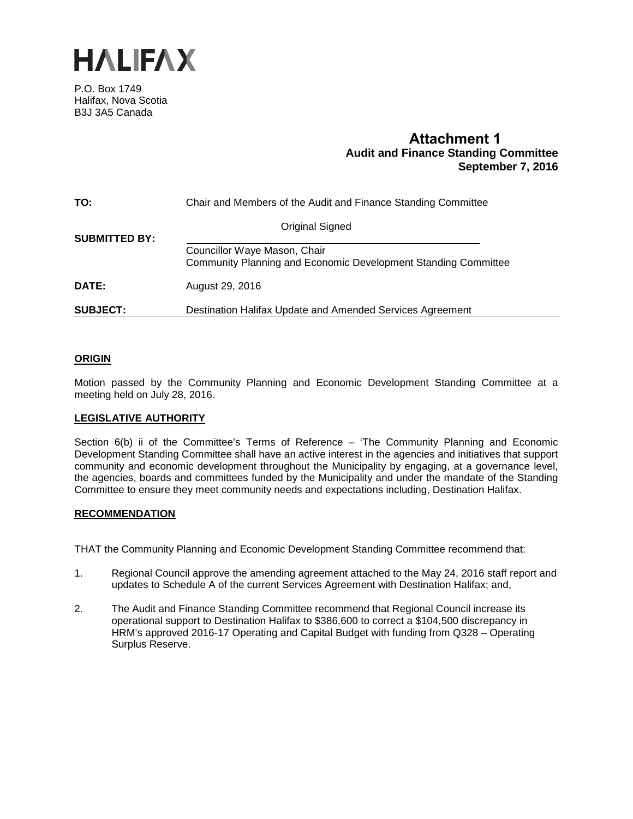

P.O. Box 1749 Halifax, Nova Scotia B3J 3A5 Canada

# **Attachment 1 Audit and Finance Standing Committee September 7, 2016**

| TO:                  | Chair and Members of the Audit and Finance Standing Committee                                  |  |  |  |  |  |
|----------------------|------------------------------------------------------------------------------------------------|--|--|--|--|--|
| <b>SUBMITTED BY:</b> | Original Signed                                                                                |  |  |  |  |  |
|                      | Councillor Waye Mason, Chair<br>Community Planning and Economic Development Standing Committee |  |  |  |  |  |
| <b>DATE:</b>         | August 29, 2016                                                                                |  |  |  |  |  |
| <b>SUBJECT:</b>      | Destination Halifax Update and Amended Services Agreement                                      |  |  |  |  |  |

## **ORIGIN**

Motion passed by the Community Planning and Economic Development Standing Committee at a meeting held on July 28, 2016.

### **LEGISLATIVE AUTHORITY**

Section 6(b) ii of the Committee's Terms of Reference – 'The Community Planning and Economic Development Standing Committee shall have an active interest in the agencies and initiatives that support community and economic development throughout the Municipality by engaging, at a governance level, the agencies, boards and committees funded by the Municipality and under the mandate of the Standing Committee to ensure they meet community needs and expectations including, Destination Halifax.

### **RECOMMENDATION**

THAT the Community Planning and Economic Development Standing Committee recommend that:

- 1. Regional Council approve the amending agreement attached to the May 24, 2016 staff report and updates to Schedule A of the current Services Agreement with Destination Halifax; and,
- 2. The Audit and Finance Standing Committee recommend that Regional Council increase its operational support to Destination Halifax to \$386,600 to correct a \$104,500 discrepancy in HRM's approved 2016-17 Operating and Capital Budget with funding from Q328 – Operating Surplus Reserve.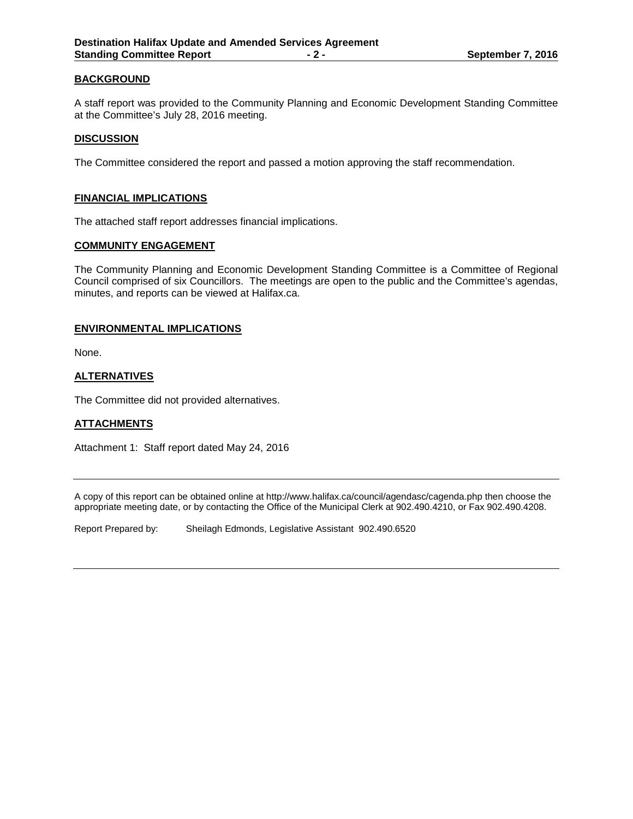## **BACKGROUND**

A staff report was provided to the Community Planning and Economic Development Standing Committee at the Committee's July 28, 2016 meeting.

#### **DISCUSSION**

The Committee considered the report and passed a motion approving the staff recommendation.

#### **FINANCIAL IMPLICATIONS**

The attached staff report addresses financial implications.

#### **COMMUNITY ENGAGEMENT**

The Community Planning and Economic Development Standing Committee is a Committee of Regional Council comprised of six Councillors. The meetings are open to the public and the Committee's agendas, minutes, and reports can be viewed at Halifax.ca.

### **ENVIRONMENTAL IMPLICATIONS**

None.

## **ALTERNATIVES**

The Committee did not provided alternatives.

### **ATTACHMENTS**

Attachment 1: Staff report dated May 24, 2016

A copy of this report can be obtained online at http://www.halifax.ca/council/agendasc/cagenda.php then choose the appropriate meeting date, or by contacting the Office of the Municipal Clerk at 902.490.4210, or Fax 902.490.4208.

Report Prepared by: Sheilagh Edmonds, Legislative Assistant 902.490.6520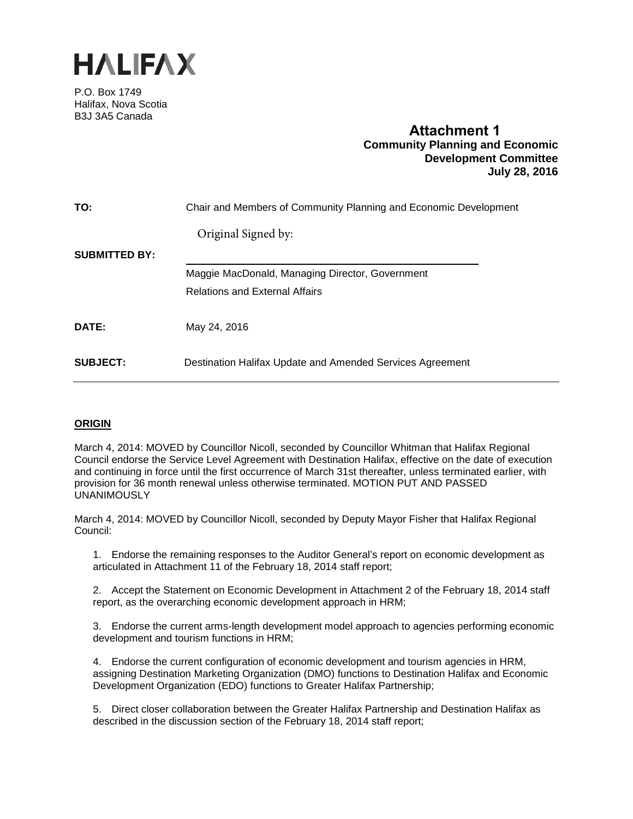

P.O. Box 1749 Halifax, Nova Scotia B3J 3A5 Canada

# **Attachment 1 Community Planning and Economic Development Committee July 28, 2016**

| TO:                  | Chair and Members of Community Planning and Economic Development |
|----------------------|------------------------------------------------------------------|
|                      | Original Signed by:                                              |
| <b>SUBMITTED BY:</b> |                                                                  |
|                      | Maggie MacDonald, Managing Director, Government                  |
|                      | <b>Relations and External Affairs</b>                            |
| <b>DATE:</b>         | May 24, 2016                                                     |
| <b>SUBJECT:</b>      | Destination Halifax Update and Amended Services Agreement        |

# **ORIGIN**

March 4, 2014: MOVED by Councillor Nicoll, seconded by Councillor Whitman that Halifax Regional Council endorse the Service Level Agreement with Destination Halifax, effective on the date of execution and continuing in force until the first occurrence of March 31st thereafter, unless terminated earlier, with provision for 36 month renewal unless otherwise terminated. MOTION PUT AND PASSED UNANIMOUSLY

March 4, 2014: MOVED by Councillor Nicoll, seconded by Deputy Mayor Fisher that Halifax Regional Council:

1. Endorse the remaining responses to the Auditor General's report on economic development as articulated in Attachment 11 of the February 18, 2014 staff report;

2. Accept the Statement on Economic Development in Attachment 2 of the February 18, 2014 staff report, as the overarching economic development approach in HRM;

3. Endorse the current arms-length development model approach to agencies performing economic development and tourism functions in HRM;

4. Endorse the current configuration of economic development and tourism agencies in HRM, assigning Destination Marketing Organization (DMO) functions to Destination Halifax and Economic Development Organization (EDO) functions to Greater Halifax Partnership;

5. Direct closer collaboration between the Greater Halifax Partnership and Destination Halifax as described in the discussion section of the February 18, 2014 staff report;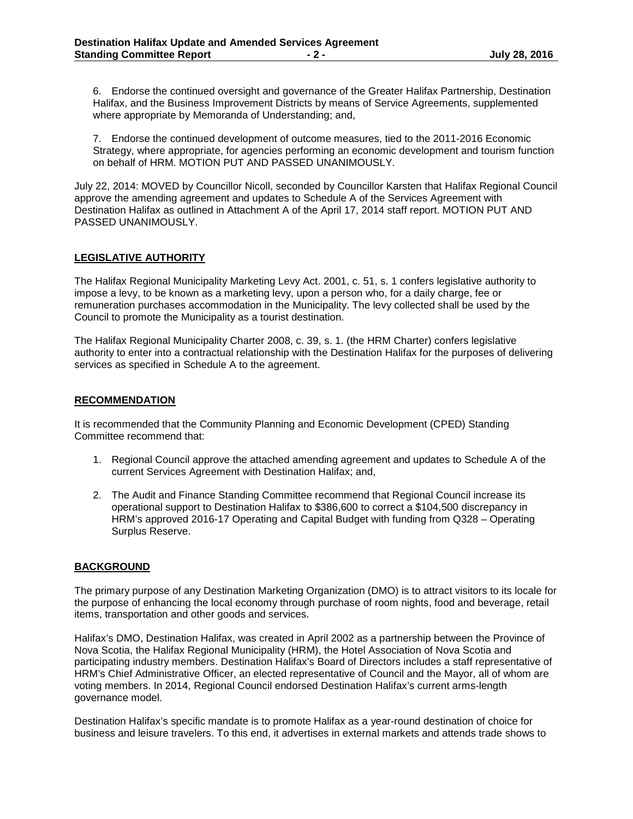6. Endorse the continued oversight and governance of the Greater Halifax Partnership, Destination Halifax, and the Business Improvement Districts by means of Service Agreements, supplemented where appropriate by Memoranda of Understanding; and,

7. Endorse the continued development of outcome measures, tied to the 2011-2016 Economic Strategy, where appropriate, for agencies performing an economic development and tourism function on behalf of HRM. MOTION PUT AND PASSED UNANIMOUSLY.

July 22, 2014: MOVED by Councillor Nicoll, seconded by Councillor Karsten that Halifax Regional Council approve the amending agreement and updates to Schedule A of the Services Agreement with Destination Halifax as outlined in Attachment A of the April 17, 2014 staff report. MOTION PUT AND PASSED UNANIMOUSLY.

## **LEGISLATIVE AUTHORITY**

The Halifax Regional Municipality Marketing Levy Act. 2001, c. 51, s. 1 confers legislative authority to impose a levy, to be known as a marketing levy, upon a person who, for a daily charge, fee or remuneration purchases accommodation in the Municipality. The levy collected shall be used by the Council to promote the Municipality as a tourist destination.

The Halifax Regional Municipality Charter 2008, c. 39, s. 1. (the HRM Charter) confers legislative authority to enter into a contractual relationship with the Destination Halifax for the purposes of delivering services as specified in Schedule A to the agreement.

## **RECOMMENDATION**

It is recommended that the Community Planning and Economic Development (CPED) Standing Committee recommend that:

- 1. Regional Council approve the attached amending agreement and updates to Schedule A of the current Services Agreement with Destination Halifax; and,
- 2. The Audit and Finance Standing Committee recommend that Regional Council increase its operational support to Destination Halifax to \$386,600 to correct a \$104,500 discrepancy in HRM's approved 2016-17 Operating and Capital Budget with funding from Q328 – Operating Surplus Reserve.

# **BACKGROUND**

The primary purpose of any Destination Marketing Organization (DMO) is to attract visitors to its locale for the purpose of enhancing the local economy through purchase of room nights, food and beverage, retail items, transportation and other goods and services.

Halifax's DMO, Destination Halifax, was created in April 2002 as a partnership between the Province of Nova Scotia, the Halifax Regional Municipality (HRM), the Hotel Association of Nova Scotia and participating industry members. Destination Halifax's Board of Directors includes a staff representative of HRM's Chief Administrative Officer, an elected representative of Council and the Mayor, all of whom are voting members. In 2014, Regional Council endorsed Destination Halifax's current arms-length governance model.

Destination Halifax's specific mandate is to promote Halifax as a year-round destination of choice for business and leisure travelers. To this end, it advertises in external markets and attends trade shows to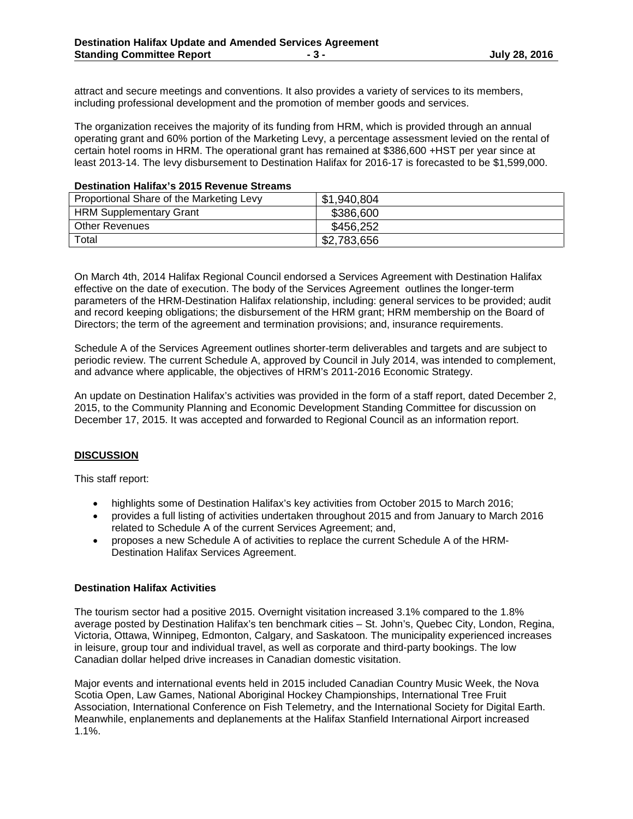attract and secure meetings and conventions. It also provides a variety of services to its members, including professional development and the promotion of member goods and services.

The organization receives the majority of its funding from HRM, which is provided through an annual operating grant and 60% portion of the Marketing Levy, a percentage assessment levied on the rental of certain hotel rooms in HRM. The operational grant has remained at \$386,600 +HST per year since at least 2013-14. The levy disbursement to Destination Halifax for 2016-17 is forecasted to be \$1,599,000.

### **Destination Halifax's 2015 Revenue Streams**

| Proportional Share of the Marketing Levy | \$1,940,804 |
|------------------------------------------|-------------|
| <b>HRM Supplementary Grant</b>           | \$386,600   |
| <b>Other Revenues</b>                    | \$456,252   |
| Total                                    | \$2,783,656 |

On March 4th, 2014 Halifax Regional Council endorsed a Services Agreement with Destination Halifax effective on the date of execution. The body of the Services Agreement outlines the longer-term parameters of the HRM-Destination Halifax relationship, including: general services to be provided; audit and record keeping obligations; the disbursement of the HRM grant; HRM membership on the Board of Directors; the term of the agreement and termination provisions; and, insurance requirements.

Schedule A of the Services Agreement outlines shorter-term deliverables and targets and are subject to periodic review. The current Schedule A, approved by Council in July 2014, was intended to complement, and advance where applicable, the objectives of HRM's 2011-2016 Economic Strategy.

An update on Destination Halifax's activities was provided in the form of a staff report, dated December 2, 2015, to the Community Planning and Economic Development Standing Committee for discussion on December 17, 2015. It was accepted and forwarded to Regional Council as an information report.

### **DISCUSSION**

This staff report:

- highlights some of Destination Halifax's key activities from October 2015 to March 2016;
- provides a full listing of activities undertaken throughout 2015 and from January to March 2016 related to Schedule A of the current Services Agreement; and,
- proposes a new Schedule A of activities to replace the current Schedule A of the HRM-Destination Halifax Services Agreement.

#### **Destination Halifax Activities**

The tourism sector had a positive 2015. Overnight visitation increased 3.1% compared to the 1.8% average posted by Destination Halifax's ten benchmark cities – St. John's, Quebec City, London, Regina, Victoria, Ottawa, Winnipeg, Edmonton, Calgary, and Saskatoon. The municipality experienced increases in leisure, group tour and individual travel, as well as corporate and third-party bookings. The low Canadian dollar helped drive increases in Canadian domestic visitation.

Major events and international events held in 2015 included Canadian Country Music Week, the Nova Scotia Open, Law Games, National Aboriginal Hockey Championships, International Tree Fruit Association, International Conference on Fish Telemetry, and the International Society for Digital Earth. Meanwhile, enplanements and deplanements at the Halifax Stanfield International Airport increased 1.1%.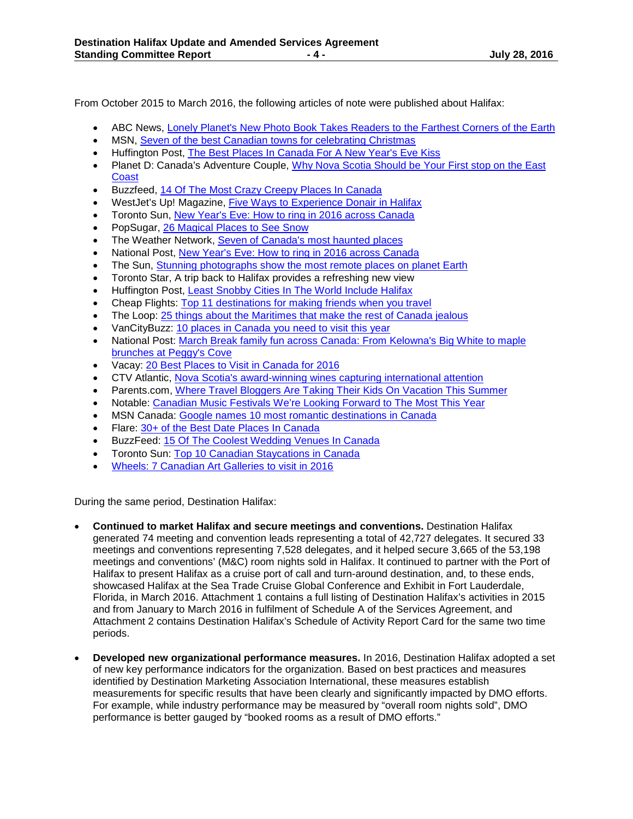From October 2015 to March 2016, the following articles of note were published about Halifax:

- ABC News, [Lonely Planet's New Photo Book Takes Readers to the Farthest Corners of the Earth](http://abcnews.go.com/Lifestyle/photos/lonely-planets-photo-book-takes-readers-farthest-corners-35420770/image-35421129)
- MSN, [Seven of the best Canadian towns for celebrating Christmas](http://www.msn.com/en-ca/travel/tripideas/7-of-the-best-canadian-towns-for-celebrating-christmas/ar-BBnSSA0?li=AAggpOh&srcref=rss)
- Huffington Post, [The Best Places In Canada For A New Year's Eve Kiss](http://www.huffingtonpost.ca/CheapFlights.ca/new-years-eve-canada_b_8862712.html)
- Planet D: Canada's Adventure Couple, [Why Nova Scotia Should be Your First stop on the East](http://theplanetd.com/east-coast-road-trip-through-nova-scotia/) **[Coast](http://theplanetd.com/east-coast-road-trip-through-nova-scotia/)**
- Buzzfeed, [14 Of The Most Crazy Creepy Places In Canada](http://www.buzzfeed.com/cylapanin/crazy-creepy-places-in-canada?utm_term=.nfOavpPYN%23.svVkyXEgd)
- WestJet's Up! Magazine, [Five Ways to Experience Donair in Halifax](http://www.westjetmagazine.com/story/article/five-ways-experience-donair-halifax)
- Toronto Sun, [New Year's Eve: How to ring in 2016 across Canada](http://www.torontosun.com/2015/12/30/new-years-eve-how-to-ring-in-2016-across-canada)
- PopSugar, [26 Magical Places to See Snow](http://www.popsugar.com.au/smart-living/Winter-Travel-Destinations-39486115)
- The Weather Network, [Seven of Canada's most haunted places](http://www.theweathernetwork.com/news/articles/seven-of-canadas-most-haunted-places/58748/)
- National Post, [New Year's Eve: How to ring in 2016 across Canada](http://news.nationalpost.com/life/travel/new-years-eve-how-to-ring-in-2016-across-canada)
- The Sun, [Stunning photographs show the most remote places on planet Earth](http://www.thesun.co.uk/sol/homepage/features/6764376/Stunning-photographs-show-the-most-remote-places-on-planet-Earth.html)
- Toronto Star, A trip back to Halifax provides a refreshing new view
- Huffington Post, [Least Snobby Cities In The World Include Halifax](http://www.huffingtonpost.ca/2016/03/31/halifax-travel-tips_n_9583162.html)
- Cheap Flights: [Top 11 destinations for making friends when you travel](http://www.cheapflights.com/news/top-destinations-for-making-friends/)
- The Loop: [25 things about the Maritimes that make the rest of Canada jealous](http://www.theloop.ca/25-things-about-the-maritimes-that-make-the-rest-of-canada-jealous/)
- VanCityBuzz: [10 places in Canada you need to visit this year](http://www.vancitybuzz.com/2016/02/places-to-visit-canada/)
- National Post: [March Break family fun across Canada: From Kelowna's Big White to maple](http://news.nationalpost.com/life/travel/march-break-family-fun-across-canada-from-kelownas-big-white-to-maple-brunches-at-peggys-cove?__lsa=6d8d-7458) [brunches at Peggy's Cove](http://news.nationalpost.com/life/travel/march-break-family-fun-across-canada-from-kelownas-big-white-to-maple-brunches-at-peggys-cove?__lsa=6d8d-7458)
- Vacay: [20 Best Places to Visit in Canada for 2016](http://vacay.ca/2016/01/20-best-places-to-visit-in-canada-for-2016/)
- CTV Atlantic, [Nova Scotia's award-winning wines capturing international attention](http://atlantic.ctvnews.ca/nova-scotia-s-award-winning-wines-capturing-international-attention-1.2837800)
- Parents.com[, Where Travel Bloggers Are Taking Their Kids On Vacation This Summer](http://www.parents.com/parents-magazine/parents-perspective/where-travel-bloggers-are-taking-their-kids-on-vacation-this/)
- Notable: [Canadian Music Festivals We're Looking Forward to The Most This Year](http://notable.ca/canadian-music-festivals-were-most-looking-forward-to-this-year/)
- MSN Canada: [Google names 10 most romantic destinations in Canada](http://www.msn.com/en-ca/lifestyle/lifestylegeneral/google-names-10-most-romantic-destinations-in-canada/ar-BBpupeS?srcref=rss)
- Flare: [30+ of the Best Date Places In Canada](http://www.flare.com/sex-and-relationships/the-best-date-places-in-canada/)
- BuzzFeed: [15 Of The Coolest Wedding Venues In Canada](http://www.buzzfeed.com/sarahaspler/coolest-wedding-venues-in-canada%23.tgZDGMayp)
- Toronto Sun: [Top 10 Canadian Staycations in Canada](http://www.torontosun.com/2016/03/08/top-10-canadian-staycations)
- Wheels: [7 Canadian Art Galleries to visit in 2016](http://www.wheels.ca/news/7-canadian-art-galleries-to-visit-in-2016/)

During the same period, Destination Halifax:

- **Continued to market Halifax and secure meetings and conventions.** Destination Halifax generated 74 meeting and convention leads representing a total of 42,727 delegates. It secured 33 meetings and conventions representing 7,528 delegates, and it helped secure 3,665 of the 53,198 meetings and conventions' (M&C) room nights sold in Halifax. It continued to partner with the Port of Halifax to present Halifax as a cruise port of call and turn-around destination, and, to these ends, showcased Halifax at the Sea Trade Cruise Global Conference and Exhibit in Fort Lauderdale, Florida, in March 2016. Attachment 1 contains a full listing of Destination Halifax's activities in 2015 and from January to March 2016 in fulfilment of Schedule A of the Services Agreement, and Attachment 2 contains Destination Halifax's Schedule of Activity Report Card for the same two time periods.
- **Developed new organizational performance measures.** In 2016, Destination Halifax adopted a set of new key performance indicators for the organization. Based on best practices and measures identified by Destination Marketing Association International, these measures establish measurements for specific results that have been clearly and significantly impacted by DMO efforts. For example, while industry performance may be measured by "overall room nights sold", DMO performance is better gauged by "booked rooms as a result of DMO efforts."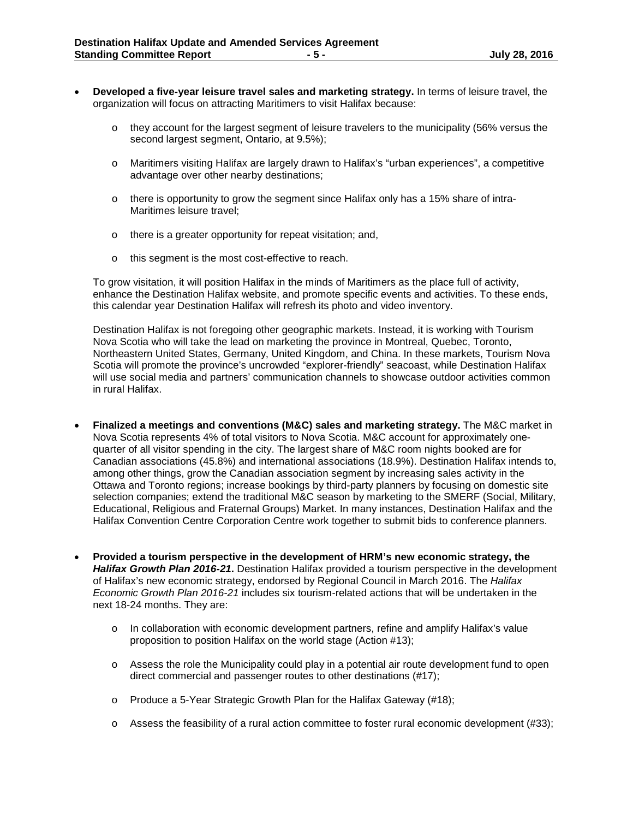- **Developed a five-year leisure travel sales and marketing strategy.** In terms of leisure travel, the organization will focus on attracting Maritimers to visit Halifax because:
	- $\circ$  they account for the largest segment of leisure travelers to the municipality (56% versus the second largest segment, Ontario, at 9.5%);
	- o Maritimers visiting Halifax are largely drawn to Halifax's "urban experiences", a competitive advantage over other nearby destinations;
	- $\circ$  there is opportunity to grow the segment since Halifax only has a 15% share of intra-Maritimes leisure travel;
	- o there is a greater opportunity for repeat visitation; and,
	- o this segment is the most cost-effective to reach.

To grow visitation, it will position Halifax in the minds of Maritimers as the place full of activity, enhance the Destination Halifax website, and promote specific events and activities. To these ends, this calendar year Destination Halifax will refresh its photo and video inventory.

Destination Halifax is not foregoing other geographic markets. Instead, it is working with Tourism Nova Scotia who will take the lead on marketing the province in Montreal, Quebec, Toronto, Northeastern United States, Germany, United Kingdom, and China. In these markets, Tourism Nova Scotia will promote the province's uncrowded "explorer-friendly" seacoast, while Destination Halifax will use social media and partners' communication channels to showcase outdoor activities common in rural Halifax.

- **Finalized a meetings and conventions (M&C) sales and marketing strategy.** The M&C market in Nova Scotia represents 4% of total visitors to Nova Scotia. M&C account for approximately onequarter of all visitor spending in the city. The largest share of M&C room nights booked are for Canadian associations (45.8%) and international associations (18.9%). Destination Halifax intends to, among other things, grow the Canadian association segment by increasing sales activity in the Ottawa and Toronto regions; increase bookings by third-party planners by focusing on domestic site selection companies; extend the traditional M&C season by marketing to the SMERF (Social, Military, Educational, Religious and Fraternal Groups) Market. In many instances, Destination Halifax and the Halifax Convention Centre Corporation Centre work together to submit bids to conference planners.
- **Provided a tourism perspective in the development of HRM's new economic strategy, the** *Halifax Growth Plan 2016-21***.** Destination Halifax provided a tourism perspective in the development of Halifax's new economic strategy, endorsed by Regional Council in March 2016. The *Halifax Economic Growth Plan 2016-21* includes six tourism-related actions that will be undertaken in the next 18-24 months. They are:
	- o In collaboration with economic development partners, refine and amplify Halifax's value proposition to position Halifax on the world stage (Action #13);
	- $\circ$  Assess the role the Municipality could play in a potential air route development fund to open direct commercial and passenger routes to other destinations (#17);
	- o Produce a 5-Year Strategic Growth Plan for the Halifax Gateway (#18);
	- $\circ$  Assess the feasibility of a rural action committee to foster rural economic development (#33);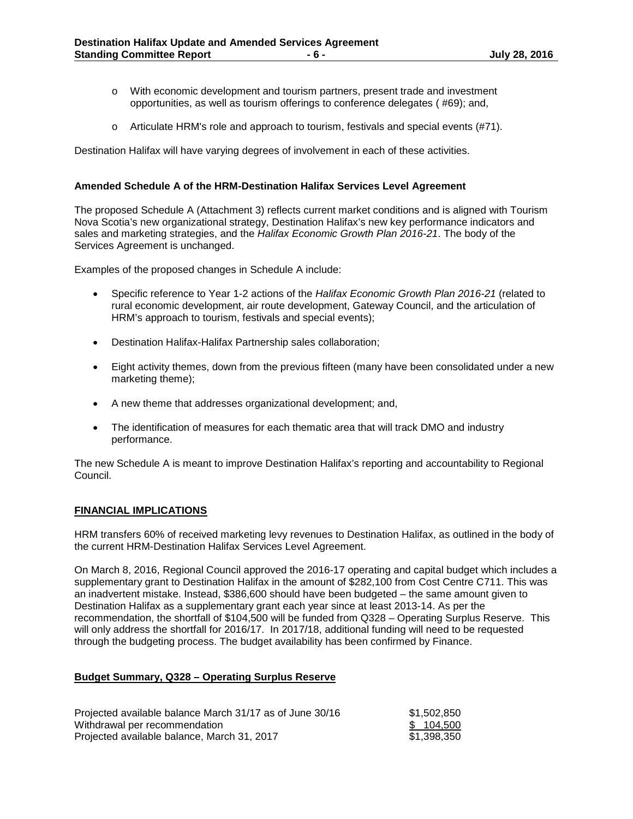- o With economic development and tourism partners, present trade and investment opportunities, as well as tourism offerings to conference delegates ( #69); and,
- o Articulate HRM's role and approach to tourism, festivals and special events (#71).

Destination Halifax will have varying degrees of involvement in each of these activities.

#### **Amended Schedule A of the HRM-Destination Halifax Services Level Agreement**

The proposed Schedule A (Attachment 3) reflects current market conditions and is aligned with Tourism Nova Scotia's new organizational strategy, Destination Halifax's new key performance indicators and sales and marketing strategies, and the *Halifax Economic Growth Plan 2016-21*. The body of the Services Agreement is unchanged.

Examples of the proposed changes in Schedule A include:

- Specific reference to Year 1-2 actions of the *Halifax Economic Growth Plan 2016-21* (related to rural economic development, air route development, Gateway Council, and the articulation of HRM's approach to tourism, festivals and special events);
- Destination Halifax-Halifax Partnership sales collaboration;
- Eight activity themes, down from the previous fifteen (many have been consolidated under a new marketing theme);
- A new theme that addresses organizational development; and,
- The identification of measures for each thematic area that will track DMO and industry performance.

The new Schedule A is meant to improve Destination Halifax's reporting and accountability to Regional Council.

#### **FINANCIAL IMPLICATIONS**

HRM transfers 60% of received marketing levy revenues to Destination Halifax, as outlined in the body of the current HRM-Destination Halifax Services Level Agreement.

On March 8, 2016, Regional Council approved the 2016-17 operating and capital budget which includes a supplementary grant to Destination Halifax in the amount of \$282,100 from Cost Centre C711. This was an inadvertent mistake. Instead, \$386,600 should have been budgeted – the same amount given to Destination Halifax as a supplementary grant each year since at least 2013-14. As per the recommendation, the shortfall of \$104,500 will be funded from Q328 – Operating Surplus Reserve. This will only address the shortfall for 2016/17. In 2017/18, additional funding will need to be requested through the budgeting process. The budget availability has been confirmed by Finance.

#### **Budget Summary, Q328 – Operating Surplus Reserve**

| Projected available balance March 31/17 as of June 30/16 | \$1,502,850 |
|----------------------------------------------------------|-------------|
| Withdrawal per recommendation                            | \$104,500   |
| Projected available balance, March 31, 2017              | \$1.398.350 |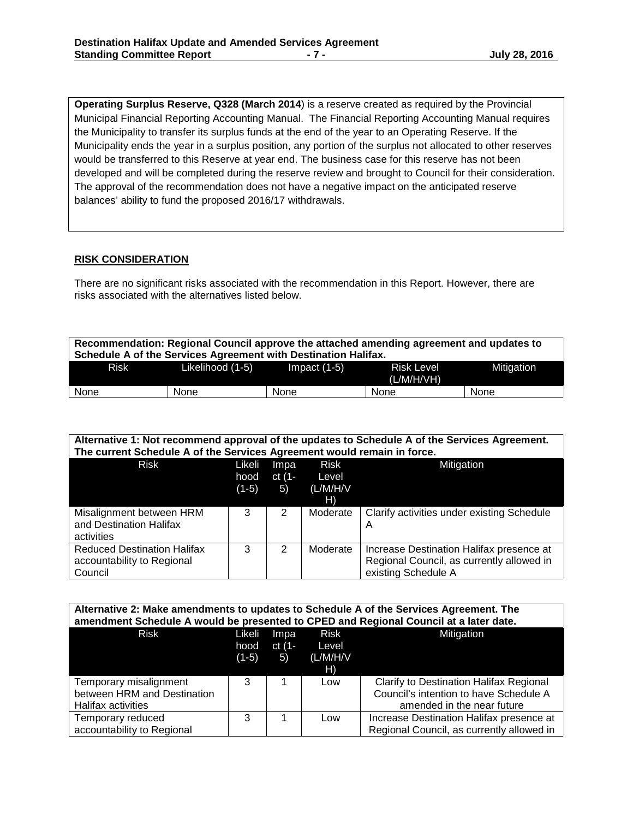**Operating Surplus Reserve, Q328 (March 2014**) is a reserve created as required by the Provincial Municipal Financial Reporting Accounting Manual. The Financial Reporting Accounting Manual requires the Municipality to transfer its surplus funds at the end of the year to an Operating Reserve. If the Municipality ends the year in a surplus position, any portion of the surplus not allocated to other reserves would be transferred to this Reserve at year end. The business case for this reserve has not been developed and will be completed during the reserve review and brought to Council for their consideration. The approval of the recommendation does not have a negative impact on the anticipated reserve balances' ability to fund the proposed 2016/17 withdrawals.

## **RISK CONSIDERATION**

There are no significant risks associated with the recommendation in this Report. However, there are risks associated with the alternatives listed below.

| Recommendation: Regional Council approve the attached amending agreement and updates to<br>Schedule A of the Services Agreement with Destination Halifax. |                  |                |                                 |            |  |  |  |  |
|-----------------------------------------------------------------------------------------------------------------------------------------------------------|------------------|----------------|---------------------------------|------------|--|--|--|--|
| Risk                                                                                                                                                      | Likelihood (1-5) | Impact $(1-5)$ | <b>Risk Level</b><br>(L/M/H/VH) | Mitigation |  |  |  |  |
| None<br>None<br>None<br>None<br>None                                                                                                                      |                  |                |                                 |            |  |  |  |  |

| Alternative 1: Not recommend approval of the updates to Schedule A of the Services Agreement.<br>The current Schedule A of the Services Agreement would remain in force. |                           |                      |                                        |                                                                                                              |  |  |  |  |  |
|--------------------------------------------------------------------------------------------------------------------------------------------------------------------------|---------------------------|----------------------|----------------------------------------|--------------------------------------------------------------------------------------------------------------|--|--|--|--|--|
| <b>Risk</b>                                                                                                                                                              | Likeli<br>hood<br>$(1-5)$ | Impa<br>ct (1-<br>5) | <b>Risk</b><br>Level<br>(L/M/H/V<br>H) | Mitigation                                                                                                   |  |  |  |  |  |
| Misalignment between HRM<br>and Destination Halifax<br>activities                                                                                                        | 3                         | 2                    | Moderate                               | Clarify activities under existing Schedule<br>A                                                              |  |  |  |  |  |
| <b>Reduced Destination Halifax</b><br>accountability to Regional<br>Council                                                                                              | 3                         | 2                    | Moderate                               | Increase Destination Halifax presence at<br>Regional Council, as currently allowed in<br>existing Schedule A |  |  |  |  |  |

| Alternative 2: Make amendments to updates to Schedule A of the Services Agreement. The<br>amendment Schedule A would be presented to CPED and Regional Council at a later date. |         |        |          |                                           |  |  |  |  |
|---------------------------------------------------------------------------------------------------------------------------------------------------------------------------------|---------|--------|----------|-------------------------------------------|--|--|--|--|
| <b>Risk</b>                                                                                                                                                                     | Likeli  | Impa   | Risk     | Mitigation                                |  |  |  |  |
|                                                                                                                                                                                 | hood    | ct (1- | Level    |                                           |  |  |  |  |
|                                                                                                                                                                                 | $(1-5)$ | 5)     | (L/M/H/V |                                           |  |  |  |  |
|                                                                                                                                                                                 |         |        | H)       |                                           |  |  |  |  |
| Temporary misalignment                                                                                                                                                          | 3       |        | Low      | Clarify to Destination Halifax Regional   |  |  |  |  |
| between HRM and Destination                                                                                                                                                     |         |        |          | Council's intention to have Schedule A    |  |  |  |  |
| <b>Halifax activities</b>                                                                                                                                                       |         |        |          | amended in the near future                |  |  |  |  |
| Temporary reduced                                                                                                                                                               | 3       |        | Low      | Increase Destination Halifax presence at  |  |  |  |  |
| accountability to Regional                                                                                                                                                      |         |        |          | Regional Council, as currently allowed in |  |  |  |  |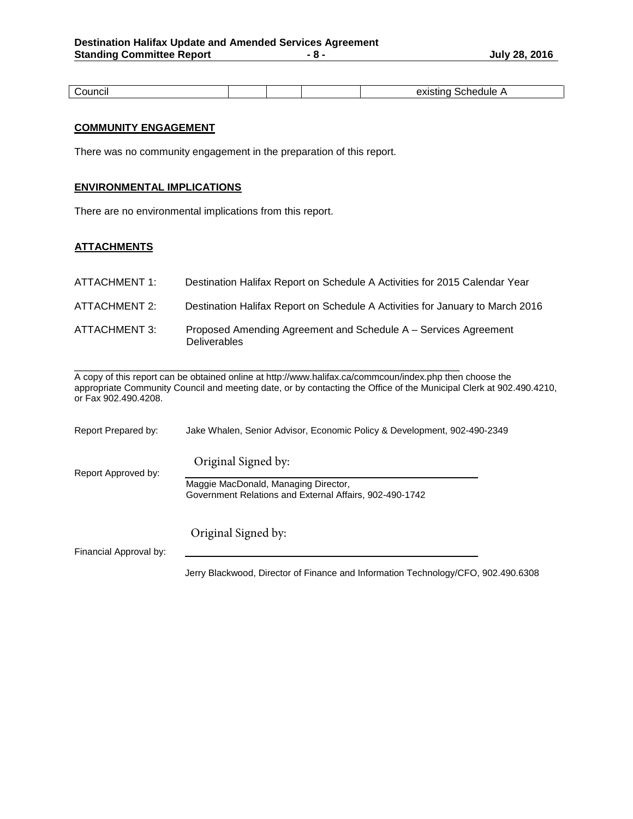| זו ור<br>ישו |  | . .<br>$-0.10$<br>. <del>.</del> <del>.</del> |
|--------------|--|-----------------------------------------------|

# **COMMUNITY ENGAGEMENT**

There was no community engagement in the preparation of this report.

## **ENVIRONMENTAL IMPLICATIONS**

There are no environmental implications from this report.

# **ATTACHMENTS**

| ATTACHMENT 1: | Destination Halifax Report on Schedule A Activities for 2015 Calendar Year             |
|---------------|----------------------------------------------------------------------------------------|
| ATTACHMENT 2: | Destination Halifax Report on Schedule A Activities for January to March 2016          |
| ATTACHMENT 3: | Proposed Amending Agreement and Schedule A – Services Agreement<br><b>Deliverables</b> |

 $\_$  ,  $\_$  ,  $\_$  ,  $\_$  ,  $\_$  ,  $\_$  ,  $\_$  ,  $\_$  ,  $\_$  ,  $\_$  ,  $\_$  ,  $\_$  ,  $\_$  ,  $\_$  ,  $\_$  ,  $\_$  ,  $\_$  ,  $\_$  ,  $\_$  ,  $\_$  ,  $\_$  ,  $\_$  ,  $\_$  ,  $\_$  ,  $\_$  ,  $\_$  ,  $\_$  ,  $\_$  ,  $\_$  ,  $\_$  ,  $\_$  ,  $\_$  ,  $\_$  ,  $\_$  ,  $\_$  ,  $\_$  ,  $\_$  , A copy of this report can be obtained online at http://www.halifax.ca/commcoun/index.php then choose the appropriate Community Council and meeting date, or by contacting the Office of the Municipal Clerk at 902.490.4210, or Fax 902.490.4208.

| Report Prepared by:    | Jake Whalen, Senior Advisor, Economic Policy & Development, 902-490-2349                        |  |  |  |  |  |
|------------------------|-------------------------------------------------------------------------------------------------|--|--|--|--|--|
| Report Approved by:    | Original Signed by:                                                                             |  |  |  |  |  |
|                        | Maggie MacDonald, Managing Director,<br>Government Relations and External Affairs, 902-490-1742 |  |  |  |  |  |
|                        | Original Signed by:                                                                             |  |  |  |  |  |
| Financial Approval by: |                                                                                                 |  |  |  |  |  |

Jerry Blackwood, Director of Finance and Information Technology/CFO, 902.490.6308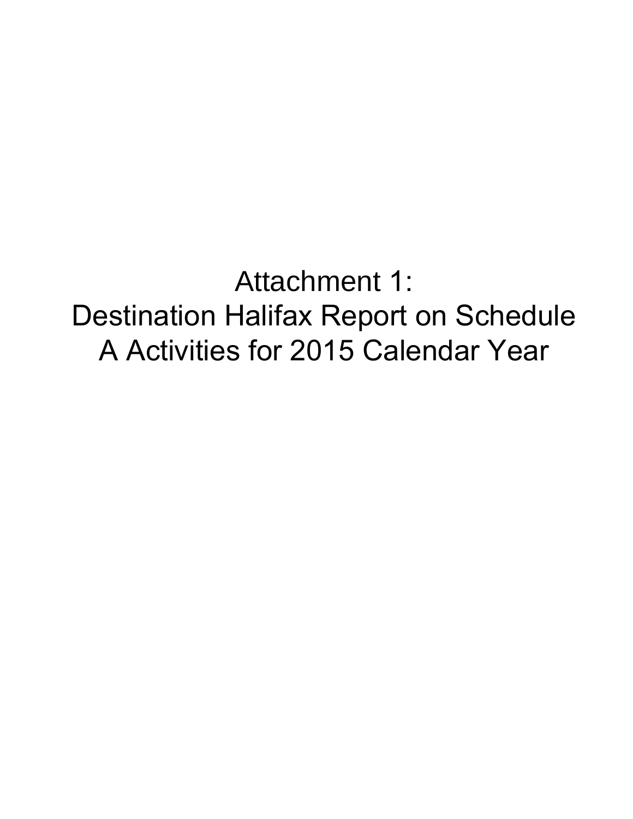Attachment 1: Destination Halifax Report on Schedule A Activities for 2015 Calendar Year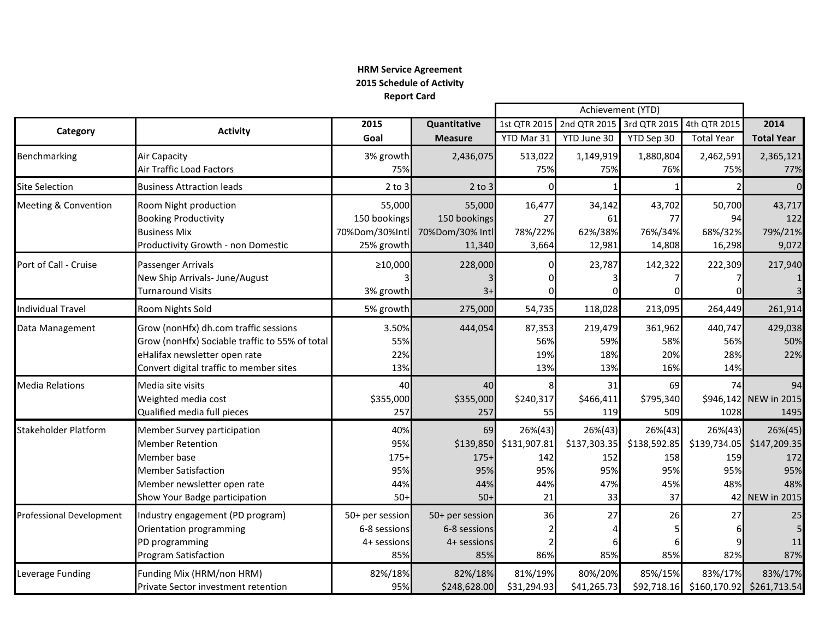# **HRM Service Agreement 2015 Schedule of Activity Report Card**

|                                 |                                                |                 |                 | Achievement (YTD)      |                           |              |                   |                           |
|---------------------------------|------------------------------------------------|-----------------|-----------------|------------------------|---------------------------|--------------|-------------------|---------------------------|
| Category                        | <b>Activity</b>                                | 2015            | Quantitative    | 1st QTR 2015           | 2nd QTR 2015 3rd QTR 2015 |              | 4th QTR 2015      | 2014                      |
|                                 |                                                | Goal            | <b>Measure</b>  | YTD Mar 31             | YTD June 30               | YTD Sep 30   | <b>Total Year</b> | <b>Total Year</b>         |
| Benchmarking                    | Air Capacity                                   | 3% growth       | 2,436,075       | 513,022                | 1,149,919                 | 1,880,804    | 2,462,591         | 2,365,121                 |
|                                 | Air Traffic Load Factors                       | 75%             |                 | 75%                    | 75%                       | 76%          | 75%               | 77%                       |
| <b>Site Selection</b>           | <b>Business Attraction leads</b>               | $2$ to $3$      | $2$ to $3$      |                        |                           |              |                   | $\Omega$                  |
| <b>Meeting &amp; Convention</b> | Room Night production                          | 55,000          | 55,000          | 16,477                 | 34,142                    | 43,702       | 50,700            | 43,717                    |
|                                 | <b>Booking Productivity</b>                    | 150 bookings    | 150 bookings    | 27                     | 61                        | 77           | 94                | 122                       |
|                                 | <b>Business Mix</b>                            | 70%Dom/30%Intl  | 70%Dom/30% Intl | 78%/22%                | 62%/38%                   | 76%/34%      | 68%/32%           | 79%/21%                   |
|                                 | Productivity Growth - non Domestic             | 25% growth      | 11,340          | 3,664                  | 12,981                    | 14,808       | 16,298            | 9,072                     |
| Port of Call - Cruise           | Passenger Arrivals                             | ≥10,000         | 228,000         |                        | 23,787                    | 142,322      | 222,309           | 217,940                   |
|                                 | New Ship Arrivals- June/August                 |                 |                 |                        |                           |              |                   |                           |
|                                 | Turnaround Visits                              | 3% growth       | $3+$            |                        |                           |              |                   |                           |
| Individual Travel               | Room Nights Sold                               | 5% growth       | 275,000         | 54,735                 | 118,028                   | 213,095      | 264,449           | 261,914                   |
| Data Management                 | Grow (nonHfx) dh.com traffic sessions          | 3.50%           | 444,054         | 87,353                 | 219,479                   | 361,962      | 440,747           | 429,038                   |
|                                 | Grow (nonHfx) Sociable traffic to 55% of total | 55%             |                 | 56%                    | 59%                       | 58%          | 56%               | 50%                       |
|                                 | eHalifax newsletter open rate                  | 22%             |                 | 19%                    | 18%                       | 20%          | 28%               | 22%                       |
|                                 | Convert digital traffic to member sites        | 13%             |                 | 13%                    | 13%                       | 16%          | 14%               |                           |
| <b>Media Relations</b>          | Media site visits                              | 40              | 40              |                        | 31                        | 69           | 74                | 94                        |
|                                 | Weighted media cost                            | \$355,000       | \$355,000       | \$240,317              | \$466,411                 | \$795,340    |                   | \$946,142 NEW in 2015     |
|                                 | Qualified media full pieces                    | 257             | 257             | 55                     | 119                       | 509          | 1028              | 1495                      |
| <b>Stakeholder Platform</b>     | Member Survey participation                    | 40%             | 69              | $26\%(43)$             | $26\%(43)$                | 26%(43)      | $26\%(43)$        | 26%(45)                   |
|                                 | <b>Member Retention</b>                        | 95%             |                 | \$139,850 \$131,907.81 | \$137,303.35              | \$138,592.85 | \$139,734.05      | \$147,209.35              |
|                                 | Member base                                    | $175+$          | $175+$          | 142                    | 152                       | 158          | 159               | 172                       |
|                                 | <b>Member Satisfaction</b>                     | 95%             | 95%             | 95%                    | 95%                       | 95%          | 95%               | 95%                       |
|                                 | Member newsletter open rate                    | 44%             | 44%             | 44%                    | 47%                       | 45%          | 48%               | 48%                       |
|                                 | Show Your Badge participation                  | $50+$           | $50+$           | 21                     | 33                        | 37           |                   | 42 NEW in 2015            |
| Professional Development        | Industry engagement (PD program)               | 50+ per session | 50+ per session | 36                     | 27                        | 26           | 27                | 25                        |
|                                 | Orientation programming                        | 6-8 sessions    | 6-8 sessions    |                        |                           |              | 61                |                           |
|                                 | PD programming                                 | 4+ sessions     | 4+ sessions     |                        |                           |              |                   | 11                        |
|                                 | <b>Program Satisfaction</b>                    | 85%             | 85%             | 86%                    | 85%                       | 85%          | 82%               | 87%                       |
| Leverage Funding                | Funding Mix (HRM/non HRM)                      | 82%/18%         | 82%/18%         | 81%/19%                | 80%/20%                   | 85%/15%      | 83%/17%           | 83%/17%                   |
|                                 | Private Sector investment retention            | 95%             | \$248,628.00    | \$31,294.93            | \$41,265.73               | \$92,718.16  |                   | \$160,170.92 \$261,713.54 |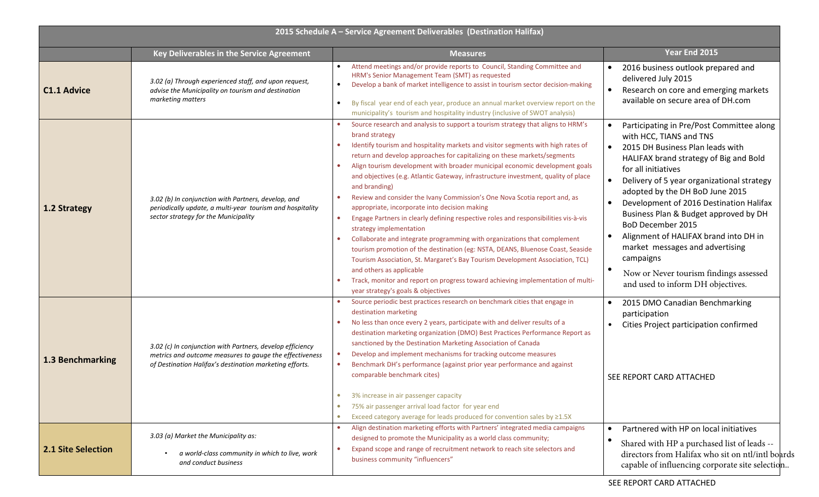| 2015 Schedule A - Service Agreement Deliverables (Destination Halifax) |                                                                                                                                                                                 |                                                                                                                                                                                                                                                                                                                                                                                                                                                                                                                                                                                                                                                                                                                                                                                                                                                                                                                                                                                                                                                                                                                       |                                                                                                                                                                                                                                                                                                                                                                                                                                                                                                                                                                                                                                  |  |
|------------------------------------------------------------------------|---------------------------------------------------------------------------------------------------------------------------------------------------------------------------------|-----------------------------------------------------------------------------------------------------------------------------------------------------------------------------------------------------------------------------------------------------------------------------------------------------------------------------------------------------------------------------------------------------------------------------------------------------------------------------------------------------------------------------------------------------------------------------------------------------------------------------------------------------------------------------------------------------------------------------------------------------------------------------------------------------------------------------------------------------------------------------------------------------------------------------------------------------------------------------------------------------------------------------------------------------------------------------------------------------------------------|----------------------------------------------------------------------------------------------------------------------------------------------------------------------------------------------------------------------------------------------------------------------------------------------------------------------------------------------------------------------------------------------------------------------------------------------------------------------------------------------------------------------------------------------------------------------------------------------------------------------------------|--|
|                                                                        | Key Deliverables in the Service Agreement                                                                                                                                       | <b>Measures</b>                                                                                                                                                                                                                                                                                                                                                                                                                                                                                                                                                                                                                                                                                                                                                                                                                                                                                                                                                                                                                                                                                                       | Year End 2015                                                                                                                                                                                                                                                                                                                                                                                                                                                                                                                                                                                                                    |  |
| <b>C1.1 Advice</b>                                                     | 3.02 (a) Through experienced staff, and upon request,<br>advise the Municipality on tourism and destination<br>marketing matters                                                | Attend meetings and/or provide reports to Council, Standing Committee and<br>HRM's Senior Management Team (SMT) as requested<br>Develop a bank of market intelligence to assist in tourism sector decision-making<br>By fiscal year end of each year, produce an annual market overview report on the<br>$\bullet$<br>municipality's tourism and hospitality industry (inclusive of SWOT analysis)                                                                                                                                                                                                                                                                                                                                                                                                                                                                                                                                                                                                                                                                                                                    | 2016 business outlook prepared and<br>delivered July 2015<br>Research on core and emerging markets<br>available on secure area of DH.com                                                                                                                                                                                                                                                                                                                                                                                                                                                                                         |  |
| 1.2 Strategy                                                           | 3.02 (b) In conjunction with Partners, develop, and<br>periodically update, a multi-year tourism and hospitality<br>sector strategy for the Municipality                        | Source research and analysis to support a tourism strategy that aligns to HRM's<br>brand strategy<br>Identify tourism and hospitality markets and visitor segments with high rates of<br>٠<br>return and develop approaches for capitalizing on these markets/segments<br>Align tourism development with broader municipal economic development goals<br>and objectives (e.g. Atlantic Gateway, infrastructure investment, quality of place<br>and branding)<br>Review and consider the Ivany Commission's One Nova Scotia report and, as<br>appropriate, incorporate into decision making<br>Engage Partners in clearly defining respective roles and responsibilities vis-à-vis<br>٠<br>strategy implementation<br>Collaborate and integrate programming with organizations that complement<br>tourism promotion of the destination (eg: NSTA, DEANS, Bluenose Coast, Seaside<br>Tourism Association, St. Margaret's Bay Tourism Development Association, TCL)<br>and others as applicable<br>Track, monitor and report on progress toward achieving implementation of multi-<br>year strategy's goals & objectives | Participating in Pre/Post Committee along<br>$\bullet$<br>with HCC, TIANS and TNS<br>2015 DH Business Plan leads with<br>$\bullet$<br>HALIFAX brand strategy of Big and Bold<br>for all initiatives<br>Delivery of 5 year organizational strategy<br>$\bullet$<br>adopted by the DH BoD June 2015<br>Development of 2016 Destination Halifax<br>$\bullet$<br>Business Plan & Budget approved by DH<br><b>BoD December 2015</b><br>Alignment of HALIFAX brand into DH in<br>$\bullet$<br>market messages and advertising<br>campaigns<br>$\bullet$<br>Now or Never tourism findings assessed<br>and used to inform DH objectives. |  |
| 1.3 Benchmarking                                                       | 3.02 (c) In conjunction with Partners, develop efficiency<br>metrics and outcome measures to gauge the effectiveness<br>of Destination Halifax's destination marketing efforts. | Source periodic best practices research on benchmark cities that engage in<br>destination marketing<br>No less than once every 2 years, participate with and deliver results of a<br>٠<br>destination marketing organization (DMO) Best Practices Performance Report as<br>sanctioned by the Destination Marketing Association of Canada<br>Develop and implement mechanisms for tracking outcome measures<br>Benchmark DH's performance (against prior year performance and against<br>comparable benchmark cites)<br>3% increase in air passenger capacity<br>۰<br>75% air passenger arrival load factor for year end<br>$\bullet$                                                                                                                                                                                                                                                                                                                                                                                                                                                                                  | 2015 DMO Canadian Benchmarking<br>$\bullet$<br>participation<br>Cities Project participation confirmed<br>SEE REPORT CARD ATTACHED                                                                                                                                                                                                                                                                                                                                                                                                                                                                                               |  |
| <b>2.1 Site Selection</b>                                              | 3.03 (a) Market the Municipality as:<br>a world-class community in which to live, work<br>and conduct business                                                                  | Exceed category average for leads produced for convention sales by ≥1.5X<br>$\bullet$<br>Align destination marketing efforts with Partners' integrated media campaigns<br>designed to promote the Municipality as a world class community;<br>Expand scope and range of recruitment network to reach site selectors and<br>business community "influencers"                                                                                                                                                                                                                                                                                                                                                                                                                                                                                                                                                                                                                                                                                                                                                           | Partnered with HP on local initiatives<br>$\bullet$<br>$\bullet$<br>Shared with HP a purchased list of leads --<br>directors from Halifax who sit on ntl/intl boards<br>capable of influencing corporate site selection                                                                                                                                                                                                                                                                                                                                                                                                          |  |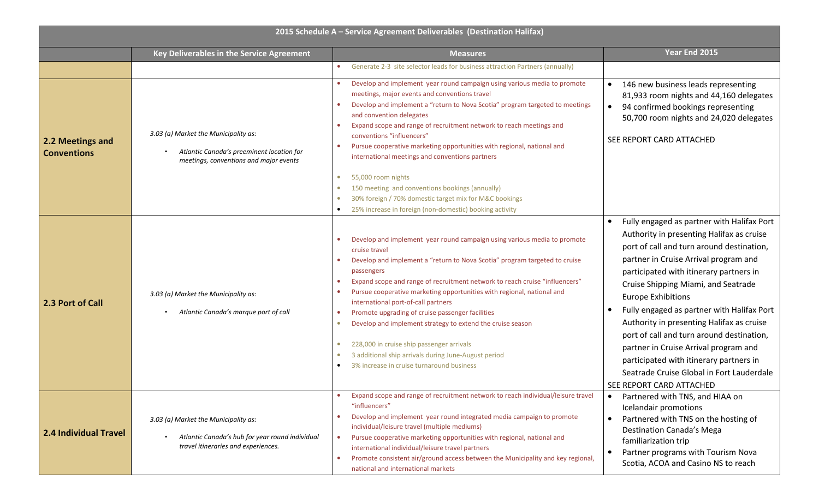| 2015 Schedule A - Service Agreement Deliverables (Destination Halifax) |                                                                                                                                |                                                                                                                                                                                                                                                                                                                                                                                                                                                                                                                                                                                                                                                                                                    |                                                                                                                                                                                                                                                                                                                                                                                                                                                                                                                                                                                                                |  |
|------------------------------------------------------------------------|--------------------------------------------------------------------------------------------------------------------------------|----------------------------------------------------------------------------------------------------------------------------------------------------------------------------------------------------------------------------------------------------------------------------------------------------------------------------------------------------------------------------------------------------------------------------------------------------------------------------------------------------------------------------------------------------------------------------------------------------------------------------------------------------------------------------------------------------|----------------------------------------------------------------------------------------------------------------------------------------------------------------------------------------------------------------------------------------------------------------------------------------------------------------------------------------------------------------------------------------------------------------------------------------------------------------------------------------------------------------------------------------------------------------------------------------------------------------|--|
|                                                                        | Key Deliverables in the Service Agreement                                                                                      | <b>Measures</b>                                                                                                                                                                                                                                                                                                                                                                                                                                                                                                                                                                                                                                                                                    | Year End 2015                                                                                                                                                                                                                                                                                                                                                                                                                                                                                                                                                                                                  |  |
|                                                                        |                                                                                                                                | Generate 2-3 site selector leads for business attraction Partners (annually)                                                                                                                                                                                                                                                                                                                                                                                                                                                                                                                                                                                                                       |                                                                                                                                                                                                                                                                                                                                                                                                                                                                                                                                                                                                                |  |
| 2.2 Meetings and<br><b>Conventions</b>                                 | 3.03 (a) Market the Municipality as:<br>Atlantic Canada's preeminent location for<br>meetings, conventions and major events    | Develop and implement year round campaign using various media to promote<br>meetings, major events and conventions travel<br>Develop and implement a "return to Nova Scotia" program targeted to meetings<br>and convention delegates<br>Expand scope and range of recruitment network to reach meetings and<br>۰<br>conventions "influencers"<br>Pursue cooperative marketing opportunities with regional, national and<br>$\bullet$<br>international meetings and conventions partners                                                                                                                                                                                                           | 146 new business leads representing<br>$\bullet$<br>81,933 room nights and 44,160 delegates<br>94 confirmed bookings representing<br>50,700 room nights and 24,020 delegates<br>SEE REPORT CARD ATTACHED                                                                                                                                                                                                                                                                                                                                                                                                       |  |
|                                                                        |                                                                                                                                | 55,000 room nights<br>$\bullet$<br>150 meeting and conventions bookings (annually)<br>$\bullet$<br>30% foreign / 70% domestic target mix for M&C bookings<br>$\bullet$<br>25% increase in foreign (non-domestic) booking activity                                                                                                                                                                                                                                                                                                                                                                                                                                                                  |                                                                                                                                                                                                                                                                                                                                                                                                                                                                                                                                                                                                                |  |
| 2.3 Port of Call                                                       | 3.03 (a) Market the Municipality as:<br>Atlantic Canada's marque port of call                                                  | Develop and implement year round campaign using various media to promote<br>cruise travel<br>Develop and implement a "return to Nova Scotia" program targeted to cruise<br>passengers<br>Expand scope and range of recruitment network to reach cruise "influencers"<br>۰<br>Pursue cooperative marketing opportunities with regional, national and<br>۰<br>international port-of-call partners<br>Promote upgrading of cruise passenger facilities<br>۰<br>Develop and implement strategy to extend the cruise season<br>$\bullet$<br>228,000 in cruise ship passenger arrivals<br>3 additional ship arrivals during June-August period<br>$\bullet$<br>3% increase in cruise turnaround business | Fully engaged as partner with Halifax Port<br>$\bullet$<br>Authority in presenting Halifax as cruise<br>port of call and turn around destination,<br>partner in Cruise Arrival program and<br>participated with itinerary partners in<br>Cruise Shipping Miami, and Seatrade<br><b>Europe Exhibitions</b><br>Fully engaged as partner with Halifax Port<br>Authority in presenting Halifax as cruise<br>port of call and turn around destination,<br>partner in Cruise Arrival program and<br>participated with itinerary partners in<br>Seatrade Cruise Global in Fort Lauderdale<br>SEE REPORT CARD ATTACHED |  |
| <b>2.4 Individual Travel</b>                                           | 3.03 (a) Market the Municipality as:<br>Atlantic Canada's hub for year round individual<br>travel itineraries and experiences. | Expand scope and range of recruitment network to reach individual/leisure travel<br>"influencers"<br>Develop and implement year round integrated media campaign to promote<br>۰<br>individual/leisure travel (multiple mediums)<br>Pursue cooperative marketing opportunities with regional, national and<br>$\bullet$<br>international individual/leisure travel partners<br>Promote consistent air/ground access between the Municipality and key regional,<br>$\bullet$<br>national and international markets                                                                                                                                                                                   | Partnered with TNS, and HIAA on<br>$\bullet$<br>Icelandair promotions<br>Partnered with TNS on the hosting of<br>Destination Canada's Mega<br>familiarization trip<br>Partner programs with Tourism Nova<br>Scotia, ACOA and Casino NS to reach                                                                                                                                                                                                                                                                                                                                                                |  |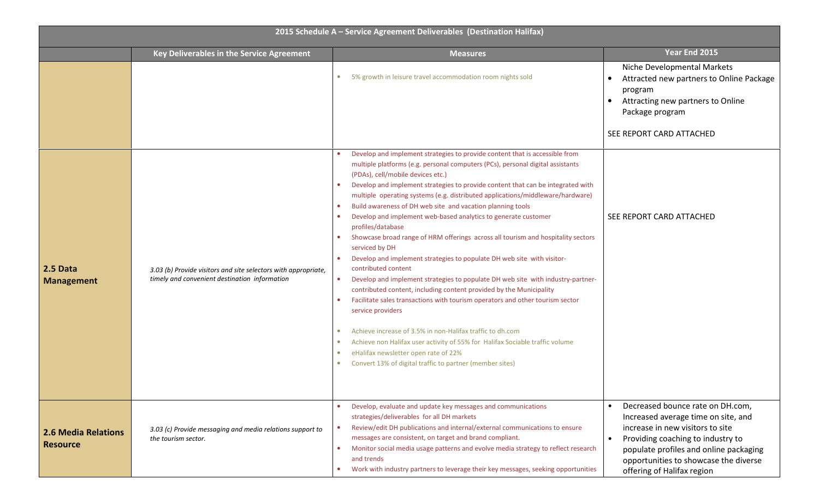| 2015 Schedule A - Service Agreement Deliverables (Destination Halifax) |                                                                                                                 |                                                                                                                                                                                                                                                                                                                                                                                                                                                                                                                                                                                                                                                                                                                                                                                                                                                                                                                                                                                                                                                                                                                                                                                                                                                                                                                       |                                                                                                                                                                                                                                                                   |
|------------------------------------------------------------------------|-----------------------------------------------------------------------------------------------------------------|-----------------------------------------------------------------------------------------------------------------------------------------------------------------------------------------------------------------------------------------------------------------------------------------------------------------------------------------------------------------------------------------------------------------------------------------------------------------------------------------------------------------------------------------------------------------------------------------------------------------------------------------------------------------------------------------------------------------------------------------------------------------------------------------------------------------------------------------------------------------------------------------------------------------------------------------------------------------------------------------------------------------------------------------------------------------------------------------------------------------------------------------------------------------------------------------------------------------------------------------------------------------------------------------------------------------------|-------------------------------------------------------------------------------------------------------------------------------------------------------------------------------------------------------------------------------------------------------------------|
|                                                                        | Key Deliverables in the Service Agreement                                                                       | <b>Measures</b>                                                                                                                                                                                                                                                                                                                                                                                                                                                                                                                                                                                                                                                                                                                                                                                                                                                                                                                                                                                                                                                                                                                                                                                                                                                                                                       | Year End 2015                                                                                                                                                                                                                                                     |
|                                                                        |                                                                                                                 | 5% growth in leisure travel accommodation room nights sold                                                                                                                                                                                                                                                                                                                                                                                                                                                                                                                                                                                                                                                                                                                                                                                                                                                                                                                                                                                                                                                                                                                                                                                                                                                            | Niche Developmental Markets<br>Attracted new partners to Online Package<br>program<br>Attracting new partners to Online<br>$\bullet$<br>Package program<br>SEE REPORT CARD ATTACHED                                                                               |
| 2.5 Data<br><b>Management</b>                                          | 3.03 (b) Provide visitors and site selectors with appropriate,<br>timely and convenient destination information | Develop and implement strategies to provide content that is accessible from<br>multiple platforms (e.g. personal computers (PCs), personal digital assistants<br>(PDAs), cell/mobile devices etc.)<br>Develop and implement strategies to provide content that can be integrated with<br>$\bullet$<br>multiple operating systems (e.g. distributed applications/middleware/hardware)<br>Build awareness of DH web site and vacation planning tools<br>Develop and implement web-based analytics to generate customer<br>profiles/database<br>Showcase broad range of HRM offerings across all tourism and hospitality sectors<br>serviced by DH<br>Develop and implement strategies to populate DH web site with visitor-<br>$\bullet$<br>contributed content<br>Develop and implement strategies to populate DH web site with industry-partner-<br>$\bullet$<br>contributed content, including content provided by the Municipality<br>Facilitate sales transactions with tourism operators and other tourism sector<br>$\bullet$<br>service providers<br>Achieve increase of 3.5% in non-Halifax traffic to dh.com<br>Achieve non Halifax user activity of 55% for Halifax Sociable traffic volume<br>eHalifax newsletter open rate of 22%<br>$\bullet$<br>Convert 13% of digital traffic to partner (member sites) | SEE REPORT CARD ATTACHED                                                                                                                                                                                                                                          |
| <b>2.6 Media Relations</b><br><b>Resource</b>                          | 3.03 (c) Provide messaging and media relations support to<br>the tourism sector.                                | Develop, evaluate and update key messages and communications<br>strategies/deliverables for all DH markets<br>Review/edit DH publications and internal/external communications to ensure<br>$\bullet$<br>messages are consistent, on target and brand compliant.<br>Monitor social media usage patterns and evolve media strategy to reflect research<br>$\bullet$<br>and trends<br>Work with industry partners to leverage their key messages, seeking opportunities<br>$\bullet$                                                                                                                                                                                                                                                                                                                                                                                                                                                                                                                                                                                                                                                                                                                                                                                                                                    | Decreased bounce rate on DH.com,<br>Increased average time on site, and<br>increase in new visitors to site<br>Providing coaching to industry to<br>populate profiles and online packaging<br>opportunities to showcase the diverse<br>offering of Halifax region |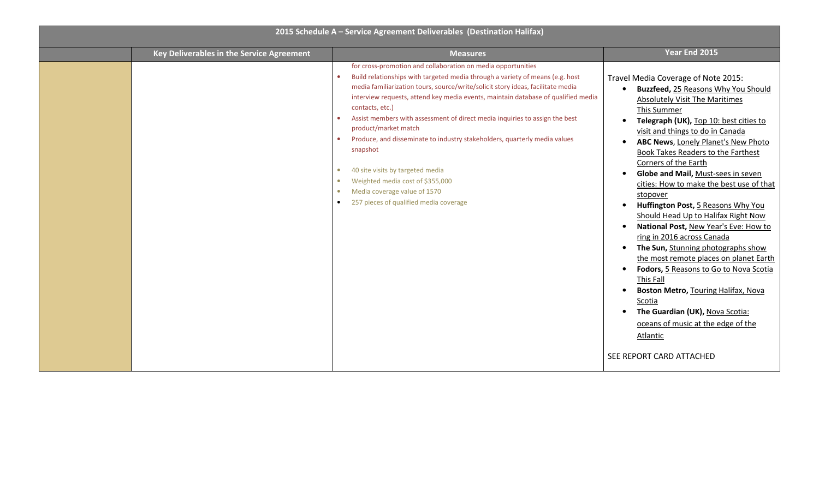| 2015 Schedule A - Service Agreement Deliverables (Destination Halifax) |                                           |                                                                                                                                                                                                                                                                                                                                                                                                                                                                                                                                                                                                                                                                                            |                                                                                                                                                                                                                                                                                                                                                                                                                                                                                                                                                                                                                                                                                                                                                                                                                                                                           |  |
|------------------------------------------------------------------------|-------------------------------------------|--------------------------------------------------------------------------------------------------------------------------------------------------------------------------------------------------------------------------------------------------------------------------------------------------------------------------------------------------------------------------------------------------------------------------------------------------------------------------------------------------------------------------------------------------------------------------------------------------------------------------------------------------------------------------------------------|---------------------------------------------------------------------------------------------------------------------------------------------------------------------------------------------------------------------------------------------------------------------------------------------------------------------------------------------------------------------------------------------------------------------------------------------------------------------------------------------------------------------------------------------------------------------------------------------------------------------------------------------------------------------------------------------------------------------------------------------------------------------------------------------------------------------------------------------------------------------------|--|
|                                                                        | Key Deliverables in the Service Agreement | <b>Measures</b>                                                                                                                                                                                                                                                                                                                                                                                                                                                                                                                                                                                                                                                                            | Year End 2015                                                                                                                                                                                                                                                                                                                                                                                                                                                                                                                                                                                                                                                                                                                                                                                                                                                             |  |
|                                                                        |                                           | for cross-promotion and collaboration on media opportunities<br>Build relationships with targeted media through a variety of means (e.g. host<br>media familiarization tours, source/write/solicit story ideas, facilitate media<br>interview requests, attend key media events, maintain database of qualified media<br>contacts, etc.)<br>Assist members with assessment of direct media inquiries to assign the best<br>product/market match<br>Produce, and disseminate to industry stakeholders, quarterly media values<br>snapshot<br>40 site visits by targeted media<br>Weighted media cost of \$355,000<br>Media coverage value of 1570<br>257 pieces of qualified media coverage | Travel Media Coverage of Note 2015:<br>Buzzfeed, 25 Reasons Why You Should<br>Absolutely Visit The Maritimes<br>This Summer<br>Telegraph (UK), Top 10: best cities to<br>visit and things to do in Canada<br>ABC News, Lonely Planet's New Photo<br>Book Takes Readers to the Farthest<br>Corners of the Earth<br>Globe and Mail, Must-sees in seven<br>cities: How to make the best use of that<br>stopover<br>Huffington Post, 5 Reasons Why You<br>Should Head Up to Halifax Right Now<br>National Post, New Year's Eve: How to<br>ring in 2016 across Canada<br>The Sun, Stunning photographs show<br>the most remote places on planet Earth<br>Fodors, 5 Reasons to Go to Nova Scotia<br>This Fall<br>Boston Metro, Touring Halifax, Nova<br>Scotia<br>The Guardian (UK), Nova Scotia:<br>oceans of music at the edge of the<br>Atlantic<br>SEE REPORT CARD ATTACHED |  |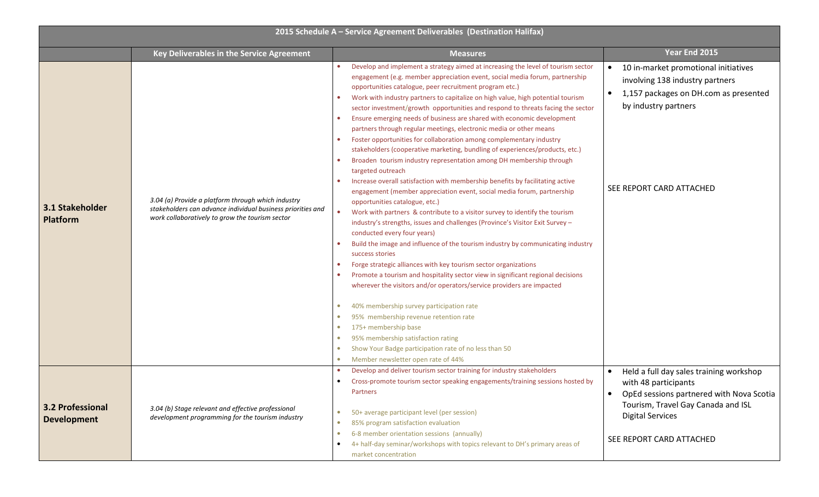| 2015 Schedule A - Service Agreement Deliverables (Destination Halifax) |                                                                                                                                                                      |                                                                                                                                                                                                                                                                                                                                                                                                                                                                                                                                                                                                                                                                                                                                                                                                                                                                                                                                                                                                                                                                                                                                                                                                                                                                                                                                                                                                                                                                                                                                                                                                                                                                                                                                                                                                                                                                                                                          |                                                                                                                                                                      |  |
|------------------------------------------------------------------------|----------------------------------------------------------------------------------------------------------------------------------------------------------------------|--------------------------------------------------------------------------------------------------------------------------------------------------------------------------------------------------------------------------------------------------------------------------------------------------------------------------------------------------------------------------------------------------------------------------------------------------------------------------------------------------------------------------------------------------------------------------------------------------------------------------------------------------------------------------------------------------------------------------------------------------------------------------------------------------------------------------------------------------------------------------------------------------------------------------------------------------------------------------------------------------------------------------------------------------------------------------------------------------------------------------------------------------------------------------------------------------------------------------------------------------------------------------------------------------------------------------------------------------------------------------------------------------------------------------------------------------------------------------------------------------------------------------------------------------------------------------------------------------------------------------------------------------------------------------------------------------------------------------------------------------------------------------------------------------------------------------------------------------------------------------------------------------------------------------|----------------------------------------------------------------------------------------------------------------------------------------------------------------------|--|
|                                                                        | Key Deliverables in the Service Agreement                                                                                                                            | <b>Measures</b>                                                                                                                                                                                                                                                                                                                                                                                                                                                                                                                                                                                                                                                                                                                                                                                                                                                                                                                                                                                                                                                                                                                                                                                                                                                                                                                                                                                                                                                                                                                                                                                                                                                                                                                                                                                                                                                                                                          | Year End 2015                                                                                                                                                        |  |
| 3.1 Stakeholder<br><b>Platform</b>                                     | 3.04 (a) Provide a platform through which industry<br>stakeholders can advance individual business priorities and<br>work collaboratively to grow the tourism sector | Develop and implement a strategy aimed at increasing the level of tourism sector<br>engagement (e.g. member appreciation event, social media forum, partnership<br>opportunities catalogue, peer recruitment program etc.)<br>Work with industry partners to capitalize on high value, high potential tourism<br>sector investment/growth opportunities and respond to threats facing the sector<br>Ensure emerging needs of business are shared with economic development<br>$\bullet$<br>partners through regular meetings, electronic media or other means<br>Foster opportunities for collaboration among complementary industry<br>$\bullet$<br>stakeholders (cooperative marketing, bundling of experiences/products, etc.)<br>Broaden tourism industry representation among DH membership through<br>$\bullet$<br>targeted outreach<br>Increase overall satisfaction with membership benefits by facilitating active<br>$\bullet$<br>engagement (member appreciation event, social media forum, partnership<br>opportunities catalogue, etc.)<br>Work with partners & contribute to a visitor survey to identify the tourism<br>$\bullet$<br>industry's strengths, issues and challenges (Province's Visitor Exit Survey -<br>conducted every four years)<br>Build the image and influence of the tourism industry by communicating industry<br>success stories<br>Forge strategic alliances with key tourism sector organizations<br>$\bullet$<br>Promote a tourism and hospitality sector view in significant regional decisions<br>wherever the visitors and/or operators/service providers are impacted<br>40% membership survey participation rate<br>$\bullet$<br>95% membership revenue retention rate<br>175+ membership base<br>$\bullet$<br>95% membership satisfaction rating<br>$\bullet$<br>Show Your Badge participation rate of no less than 50<br>$\bullet$<br>Member newsletter open rate of 44% | 10 in-market promotional initiatives<br>involving 138 industry partners<br>1,157 packages on DH.com as presented<br>by industry partners<br>SEE REPORT CARD ATTACHED |  |
|                                                                        |                                                                                                                                                                      | Develop and deliver tourism sector training for industry stakeholders                                                                                                                                                                                                                                                                                                                                                                                                                                                                                                                                                                                                                                                                                                                                                                                                                                                                                                                                                                                                                                                                                                                                                                                                                                                                                                                                                                                                                                                                                                                                                                                                                                                                                                                                                                                                                                                    | Held a full day sales training workshop                                                                                                                              |  |
|                                                                        |                                                                                                                                                                      | Cross-promote tourism sector speaking engagements/training sessions hosted by<br>Partners                                                                                                                                                                                                                                                                                                                                                                                                                                                                                                                                                                                                                                                                                                                                                                                                                                                                                                                                                                                                                                                                                                                                                                                                                                                                                                                                                                                                                                                                                                                                                                                                                                                                                                                                                                                                                                | with 48 participants<br>OpEd sessions partnered with Nova Scotia                                                                                                     |  |
| <b>3.2 Professional</b><br><b>Development</b>                          | 3.04 (b) Stage relevant and effective professional<br>development programming for the tourism industry                                                               | 50+ average participant level (per session)<br>$\bullet$                                                                                                                                                                                                                                                                                                                                                                                                                                                                                                                                                                                                                                                                                                                                                                                                                                                                                                                                                                                                                                                                                                                                                                                                                                                                                                                                                                                                                                                                                                                                                                                                                                                                                                                                                                                                                                                                 | Tourism, Travel Gay Canada and ISL<br><b>Digital Services</b>                                                                                                        |  |
|                                                                        |                                                                                                                                                                      | 85% program satisfaction evaluation<br>$\bullet$<br>6-8 member orientation sessions (annually)<br>$\bullet$<br>4+ half-day seminar/workshops with topics relevant to DH's primary areas of<br>$\bullet$<br>market concentration                                                                                                                                                                                                                                                                                                                                                                                                                                                                                                                                                                                                                                                                                                                                                                                                                                                                                                                                                                                                                                                                                                                                                                                                                                                                                                                                                                                                                                                                                                                                                                                                                                                                                          | SEE REPORT CARD ATTACHED                                                                                                                                             |  |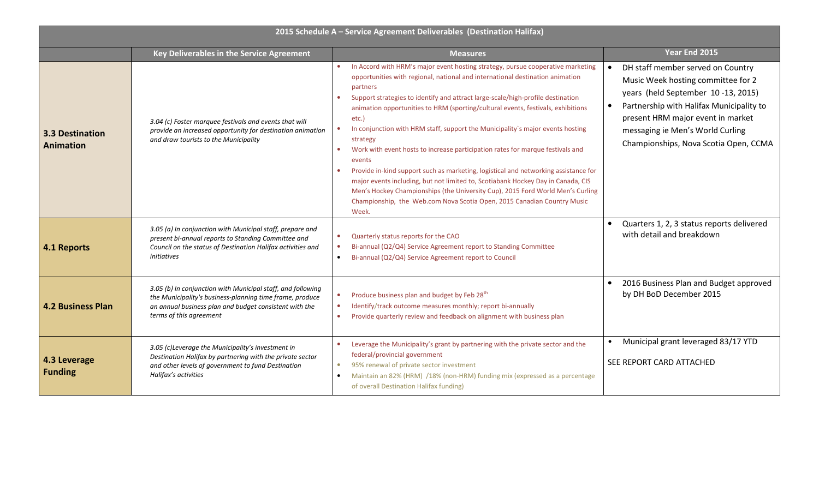| 2015 Schedule A - Service Agreement Deliverables (Destination Halifax) |                                                                                                                                                                                                              |                                                                                                                                                                                                                                                                                                                                                                                                                                                                                                                                                                                                                                                                                                                                                                                                                                                                                                                                                |                                                                                                                                                                                                                                                                                          |  |
|------------------------------------------------------------------------|--------------------------------------------------------------------------------------------------------------------------------------------------------------------------------------------------------------|------------------------------------------------------------------------------------------------------------------------------------------------------------------------------------------------------------------------------------------------------------------------------------------------------------------------------------------------------------------------------------------------------------------------------------------------------------------------------------------------------------------------------------------------------------------------------------------------------------------------------------------------------------------------------------------------------------------------------------------------------------------------------------------------------------------------------------------------------------------------------------------------------------------------------------------------|------------------------------------------------------------------------------------------------------------------------------------------------------------------------------------------------------------------------------------------------------------------------------------------|--|
|                                                                        | Key Deliverables in the Service Agreement                                                                                                                                                                    | <b>Measures</b>                                                                                                                                                                                                                                                                                                                                                                                                                                                                                                                                                                                                                                                                                                                                                                                                                                                                                                                                | Year End 2015                                                                                                                                                                                                                                                                            |  |
| <b>3.3 Destination</b><br><b>Animation</b>                             | 3.04 (c) Foster marquee festivals and events that will<br>provide an increased opportunity for destination animation<br>and draw tourists to the Municipality                                                | In Accord with HRM's major event hosting strategy, pursue cooperative marketing<br>opportunities with regional, national and international destination animation<br>partners<br>Support strategies to identify and attract large-scale/high-profile destination<br>$\bullet$<br>animation opportunities to HRM (sporting/cultural events, festivals, exhibitions<br>etc.)<br>In conjunction with HRM staff, support the Municipality's major events hosting<br>$\bullet$<br>strategy<br>Work with event hosts to increase participation rates for marque festivals and<br>$\bullet$<br>events<br>Provide in-kind support such as marketing, logistical and networking assistance for<br>major events including, but not limited to, Scotiabank Hockey Day in Canada, CIS<br>Men's Hockey Championships (the University Cup), 2015 Ford World Men's Curling<br>Championship, the Web.com Nova Scotia Open, 2015 Canadian Country Music<br>Week. | DH staff member served on Country<br>Music Week hosting committee for 2<br>years (held September 10-13, 2015)<br>Partnership with Halifax Municipality to<br>$\bullet$<br>present HRM major event in market<br>messaging ie Men's World Curling<br>Championships, Nova Scotia Open, CCMA |  |
| 4.1 Reports                                                            | 3.05 (a) In conjunction with Municipal staff, prepare and<br>present bi-annual reports to Standing Committee and<br>Council on the status of Destination Halifax activities and<br>initiatives               | Quarterly status reports for the CAO<br>۰<br>Bi-annual (Q2/Q4) Service Agreement report to Standing Committee<br>$\bullet$<br>Bi-annual (Q2/Q4) Service Agreement report to Council<br>$\bullet$                                                                                                                                                                                                                                                                                                                                                                                                                                                                                                                                                                                                                                                                                                                                               | Quarters 1, 2, 3 status reports delivered<br>with detail and breakdown                                                                                                                                                                                                                   |  |
| <b>4.2 Business Plan</b>                                               | 3.05 (b) In conjunction with Municipal staff, and following<br>the Municipality's business-planning time frame, produce<br>an annual business plan and budget consistent with the<br>terms of this agreement | Produce business plan and budget by Feb 28 <sup>th</sup><br>$\bullet$<br>Identify/track outcome measures monthly; report bi-annually<br>$\bullet$<br>Provide quarterly review and feedback on alignment with business plan<br>$\bullet$                                                                                                                                                                                                                                                                                                                                                                                                                                                                                                                                                                                                                                                                                                        | 2016 Business Plan and Budget approved<br>by DH BoD December 2015                                                                                                                                                                                                                        |  |
| 4.3 Leverage<br><b>Funding</b>                                         | 3.05 (c)Leverage the Municipality's investment in<br>Destination Halifax by partnering with the private sector<br>and other levels of government to fund Destination<br>Halifax's activities                 | Leverage the Municipality's grant by partnering with the private sector and the<br>federal/provincial government<br>95% renewal of private sector investment<br>$\bullet$<br>Maintain an 82% (HRM) /18% (non-HRM) funding mix (expressed as a percentage<br>$\bullet$<br>of overall Destination Halifax funding)                                                                                                                                                                                                                                                                                                                                                                                                                                                                                                                                                                                                                               | Municipal grant leveraged 83/17 YTD<br>SEE REPORT CARD ATTACHED                                                                                                                                                                                                                          |  |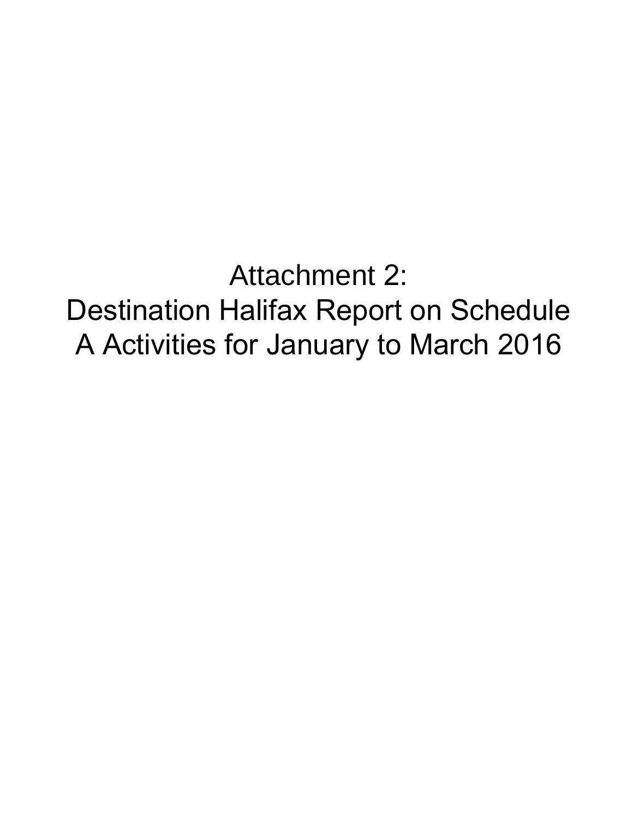Attachment 2:

Destination Halifax Report on Schedule A Activities for January to March 2016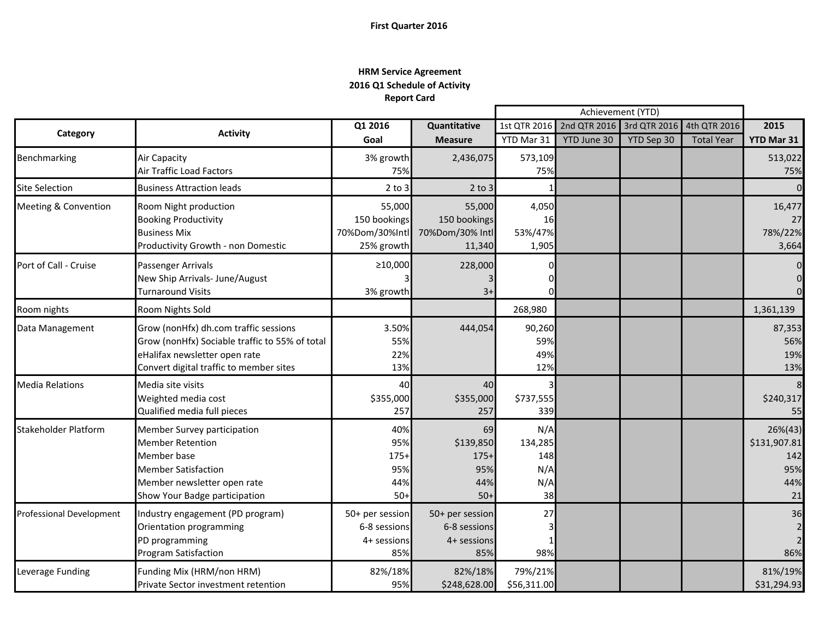# **First Quarter 2016**

# **HRM Service Agreement 2016 Q1 Schedule of Activity Report Card**

œ

|                                 |                                                |                 |                 | Achievement (YTD) |                                        |            |                   |                |
|---------------------------------|------------------------------------------------|-----------------|-----------------|-------------------|----------------------------------------|------------|-------------------|----------------|
|                                 | <b>Activity</b>                                | Q1 2016         | Quantitative    |                   | 1st QTR 2016 2nd QTR 2016 3rd QTR 2016 |            | 4th QTR 2016      | 2015           |
| Category                        |                                                | Goal            | <b>Measure</b>  | YTD Mar 31        | YTD June 30                            | YTD Sep 30 | <b>Total Year</b> | YTD Mar 31     |
| Benchmarking                    | <b>Air Capacity</b>                            | 3% growth       | 2,436,075       | 573,109           |                                        |            |                   | 513,022        |
|                                 | Air Traffic Load Factors                       | 75%             |                 | 75%               |                                        |            |                   | 75%            |
| <b>Site Selection</b>           | <b>Business Attraction leads</b>               | $2$ to $3$      | $2$ to $3$      |                   |                                        |            |                   | $\mathbf{0}$   |
| <b>Meeting &amp; Convention</b> | Room Night production                          | 55,000          | 55,000          | 4,050             |                                        |            |                   | 16,477         |
|                                 | <b>Booking Productivity</b>                    | 150 bookings    | 150 bookings    | 16                |                                        |            |                   | 27             |
|                                 | <b>Business Mix</b>                            | 70%Dom/30%Intl  | 70%Dom/30% Intl | 53%/47%           |                                        |            |                   | 78%/22%        |
|                                 | Productivity Growth - non Domestic             | 25% growth      | 11,340          | 1,905             |                                        |            |                   | 3,664          |
| Port of Call - Cruise           | Passenger Arrivals                             | ≥10,000         | 228,000         |                   |                                        |            |                   | $\overline{0}$ |
|                                 | New Ship Arrivals- June/August                 |                 |                 |                   |                                        |            |                   | $\pmb{0}$      |
|                                 | Turnaround Visits                              | 3% growth       | $3+$            |                   |                                        |            |                   | $\overline{0}$ |
| Room nights                     | Room Nights Sold                               |                 |                 | 268,980           |                                        |            |                   | 1,361,139      |
| Data Management                 | Grow (nonHfx) dh.com traffic sessions          | 3.50%           | 444,054         | 90,260            |                                        |            |                   | 87,353         |
|                                 | Grow (nonHfx) Sociable traffic to 55% of total | 55%             |                 | 59%               |                                        |            |                   | 56%            |
|                                 | eHalifax newsletter open rate                  | 22%             |                 | 49%               |                                        |            |                   | 19%            |
|                                 | Convert digital traffic to member sites        | 13%             |                 | 12%               |                                        |            |                   | 13%            |
| <b>Media Relations</b>          | Media site visits                              | 40              | 40              |                   |                                        |            |                   | 8              |
|                                 | Weighted media cost                            | \$355,000       | \$355,000       | \$737,555         |                                        |            |                   | \$240,317      |
|                                 | Qualified media full pieces                    | 257             | 257             | 339               |                                        |            |                   | 55             |
| <b>Stakeholder Platform</b>     | Member Survey participation                    | 40%             | 69              | N/A               |                                        |            |                   | $26\%(43)$     |
|                                 | <b>Member Retention</b>                        | 95%             | \$139,850       | 134,285           |                                        |            |                   | \$131,907.81   |
|                                 | Member base                                    | $175+$          | $175+$          | 148               |                                        |            |                   | 142            |
|                                 | <b>Member Satisfaction</b>                     | 95%             | 95%             | N/A               |                                        |            |                   | 95%            |
|                                 | Member newsletter open rate                    | 44%             | 44%             | N/A               |                                        |            |                   | 44%            |
|                                 | Show Your Badge participation                  | $50+$           | $50+$           | 38                |                                        |            |                   | 21             |
| <b>Professional Development</b> | Industry engagement (PD program)               | 50+ per session | 50+ per session | 27                |                                        |            |                   | 36             |
|                                 | Orientation programming                        | 6-8 sessions    | 6-8 sessions    |                   |                                        |            |                   |                |
|                                 | PD programming                                 | 4+ sessions     | 4+ sessions     |                   |                                        |            |                   | $\overline{2}$ |
|                                 | <b>Program Satisfaction</b>                    | 85%             | 85%             | 98%               |                                        |            |                   | 86%            |
| Leverage Funding                | Funding Mix (HRM/non HRM)                      | 82%/18%         | 82%/18%         | 79%/21%           |                                        |            |                   | 81%/19%        |
|                                 | Private Sector investment retention            | 95%             | \$248,628.00    | \$56,311.00       |                                        |            |                   | \$31,294.93    |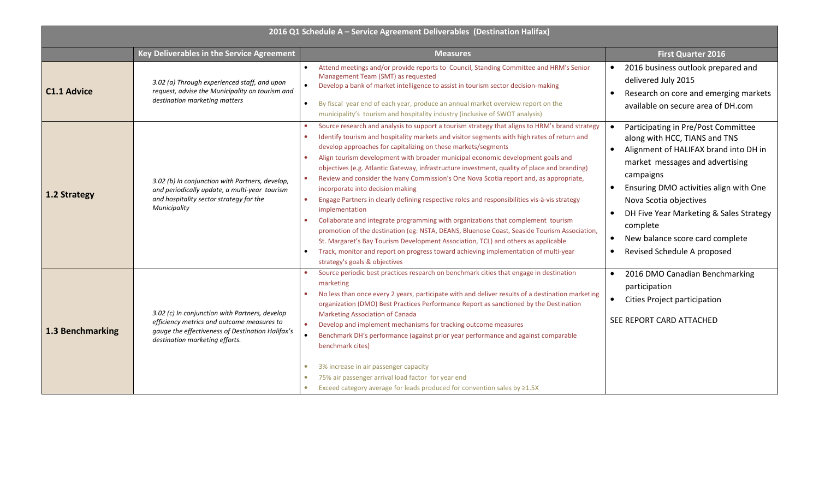| 2016 Q1 Schedule A - Service Agreement Deliverables (Destination Halifax) |                                                                                                                                                                                    |                                                                                                                                                                                                                                                                                                                                                                                                                                                                                                                                                                                                                                                                                                                                                                                                                                                                                                                                                                                                                                                                                                                                                       |                                                                                                                                                                                                                                                                                                                                                                         |  |
|---------------------------------------------------------------------------|------------------------------------------------------------------------------------------------------------------------------------------------------------------------------------|-------------------------------------------------------------------------------------------------------------------------------------------------------------------------------------------------------------------------------------------------------------------------------------------------------------------------------------------------------------------------------------------------------------------------------------------------------------------------------------------------------------------------------------------------------------------------------------------------------------------------------------------------------------------------------------------------------------------------------------------------------------------------------------------------------------------------------------------------------------------------------------------------------------------------------------------------------------------------------------------------------------------------------------------------------------------------------------------------------------------------------------------------------|-------------------------------------------------------------------------------------------------------------------------------------------------------------------------------------------------------------------------------------------------------------------------------------------------------------------------------------------------------------------------|--|
|                                                                           | Key Deliverables in the Service Agreement                                                                                                                                          | <b>Measures</b>                                                                                                                                                                                                                                                                                                                                                                                                                                                                                                                                                                                                                                                                                                                                                                                                                                                                                                                                                                                                                                                                                                                                       | <b>First Quarter 2016</b>                                                                                                                                                                                                                                                                                                                                               |  |
| <b>C1.1 Advice</b>                                                        | 3.02 (a) Through experienced staff, and upon<br>request, advise the Municipality on tourism and<br>destination marketing matters                                                   | Attend meetings and/or provide reports to Council, Standing Committee and HRM's Senior<br>Management Team (SMT) as requested<br>Develop a bank of market intelligence to assist in tourism sector decision-making<br>By fiscal year end of each year, produce an annual market overview report on the<br>$\bullet$<br>municipality's tourism and hospitality industry (inclusive of SWOT analysis)                                                                                                                                                                                                                                                                                                                                                                                                                                                                                                                                                                                                                                                                                                                                                    | 2016 business outlook prepared and<br>$\bullet$<br>delivered July 2015<br>Research on core and emerging markets<br>available on secure area of DH.com                                                                                                                                                                                                                   |  |
| 1.2 Strategy                                                              | 3.02 (b) In conjunction with Partners, develop,<br>and periodically update, a multi-year tourism<br>and hospitality sector strategy for the<br>Municipality                        | Source research and analysis to support a tourism strategy that aligns to HRM's brand strategy<br>Identify tourism and hospitality markets and visitor segments with high rates of return and<br>develop approaches for capitalizing on these markets/segments<br>Align tourism development with broader municipal economic development goals and<br>$\bullet$<br>objectives (e.g. Atlantic Gateway, infrastructure investment, quality of place and branding)<br>Review and consider the Ivany Commission's One Nova Scotia report and, as appropriate,<br>$\bullet$<br>incorporate into decision making<br>Engage Partners in clearly defining respective roles and responsibilities vis-à-vis strategy<br>$\bullet$<br>implementation<br>Collaborate and integrate programming with organizations that complement tourism<br>promotion of the destination (eg: NSTA, DEANS, Bluenose Coast, Seaside Tourism Association,<br>St. Margaret's Bay Tourism Development Association, TCL) and others as applicable<br>Track, monitor and report on progress toward achieving implementation of multi-year<br>$\bullet$<br>strategy's goals & objectives | Participating in Pre/Post Committee<br>$\bullet$<br>along with HCC, TIANS and TNS<br>Alignment of HALIFAX brand into DH in<br>market messages and advertising<br>campaigns<br>Ensuring DMO activities align with One<br>Nova Scotia objectives<br>DH Five Year Marketing & Sales Strategy<br>complete<br>New balance score card complete<br>Revised Schedule A proposed |  |
| 1.3 Benchmarking                                                          | 3.02 (c) In conjunction with Partners, develop<br>efficiency metrics and outcome measures to<br>gauge the effectiveness of Destination Halifax's<br>destination marketing efforts. | Source periodic best practices research on benchmark cities that engage in destination<br>marketing<br>No less than once every 2 years, participate with and deliver results of a destination marketing<br>organization (DMO) Best Practices Performance Report as sanctioned by the Destination<br><b>Marketing Association of Canada</b><br>Develop and implement mechanisms for tracking outcome measures<br>$\bullet$<br>Benchmark DH's performance (against prior year performance and against comparable<br>benchmark cites)<br>3% increase in air passenger capacity<br>75% air passenger arrival load factor for year end<br>Exceed category average for leads produced for convention sales by ≥1.5X                                                                                                                                                                                                                                                                                                                                                                                                                                         | 2016 DMO Canadian Benchmarking<br>participation<br>$\bullet$<br>Cities Project participation<br>SEE REPORT CARD ATTACHED                                                                                                                                                                                                                                                |  |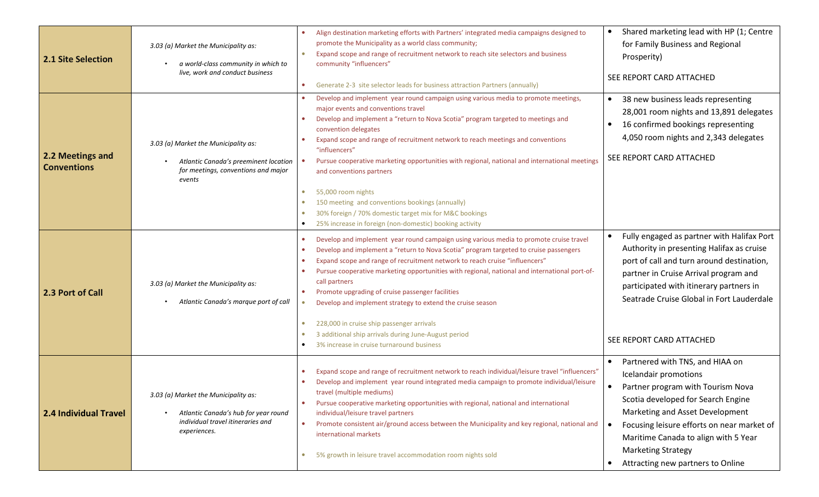| <b>2.1 Site Selection</b>              | 3.03 (a) Market the Municipality as:<br>a world-class community in which to<br>live, work and conduct business                    | Align destination marketing efforts with Partners' integrated media campaigns designed to<br>promote the Municipality as a world class community;<br>Expand scope and range of recruitment network to reach site selectors and business<br>$\bullet$<br>community "influencers"<br>Generate 2-3 site selector leads for business attraction Partners (annually)<br>۰                                                                                                                                                                                                                                                                                                                                                                                                       | Shared marketing lead with HP (1; Centre<br>$\bullet$<br>for Family Business and Regional<br>Prosperity)<br>SEE REPORT CARD ATTACHED                                                                                                                                                                                                        |
|----------------------------------------|-----------------------------------------------------------------------------------------------------------------------------------|----------------------------------------------------------------------------------------------------------------------------------------------------------------------------------------------------------------------------------------------------------------------------------------------------------------------------------------------------------------------------------------------------------------------------------------------------------------------------------------------------------------------------------------------------------------------------------------------------------------------------------------------------------------------------------------------------------------------------------------------------------------------------|---------------------------------------------------------------------------------------------------------------------------------------------------------------------------------------------------------------------------------------------------------------------------------------------------------------------------------------------|
| 2.2 Meetings and<br><b>Conventions</b> | 3.03 (a) Market the Municipality as:<br>Atlantic Canada's preeminent location<br>for meetings, conventions and major<br>events    | Develop and implement year round campaign using various media to promote meetings,<br>major events and conventions travel<br>Develop and implement a "return to Nova Scotia" program targeted to meetings and<br>$\bullet$<br>convention delegates<br>Expand scope and range of recruitment network to reach meetings and conventions<br>۰<br>"influencers"<br>Pursue cooperative marketing opportunities with regional, national and international meetings<br>and conventions partners<br>55,000 room nights<br>$\bullet$                                                                                                                                                                                                                                                | 38 new business leads representing<br>28,001 room nights and 13,891 delegates<br>16 confirmed bookings representing<br>$\bullet$<br>4,050 room nights and 2,343 delegates<br>SEE REPORT CARD ATTACHED                                                                                                                                       |
| 2.3 Port of Call                       | 3.03 (a) Market the Municipality as:<br>Atlantic Canada's marque port of call                                                     | 150 meeting and conventions bookings (annually)<br>$\bullet$<br>30% foreign / 70% domestic target mix for M&C bookings<br>$\bullet$<br>25% increase in foreign (non-domestic) booking activity<br>Develop and implement year round campaign using various media to promote cruise travel<br>۰<br>Develop and implement a "return to Nova Scotia" program targeted to cruise passengers<br>$\bullet$<br>Expand scope and range of recruitment network to reach cruise "influencers"<br>$\bullet$<br>Pursue cooperative marketing opportunities with regional, national and international port-of-<br>$\bullet$<br>call partners<br>Promote upgrading of cruise passenger facilities<br>$\bullet$<br>Develop and implement strategy to extend the cruise season<br>$\bullet$ | Fully engaged as partner with Halifax Port<br>Authority in presenting Halifax as cruise<br>port of call and turn around destination,<br>partner in Cruise Arrival program and<br>participated with itinerary partners in<br>Seatrade Cruise Global in Fort Lauderdale                                                                       |
|                                        |                                                                                                                                   | 228,000 in cruise ship passenger arrivals<br>$\bullet$<br>3 additional ship arrivals during June-August period<br>۰<br>3% increase in cruise turnaround business                                                                                                                                                                                                                                                                                                                                                                                                                                                                                                                                                                                                           | SEE REPORT CARD ATTACHED                                                                                                                                                                                                                                                                                                                    |
| <b>2.4 Individual Travel</b>           | 3.03 (a) Market the Municipality as:<br>Atlantic Canada's hub for year round<br>individual travel itineraries and<br>experiences. | Expand scope and range of recruitment network to reach individual/leisure travel "influencers"<br>Develop and implement year round integrated media campaign to promote individual/leisure<br>travel (multiple mediums)<br>Pursue cooperative marketing opportunities with regional, national and international<br>individual/leisure travel partners<br>Promote consistent air/ground access between the Municipality and key regional, national and<br>$\bullet$<br>international markets<br>5% growth in leisure travel accommodation room nights sold<br>$\bullet$                                                                                                                                                                                                     | Partnered with TNS, and HIAA on<br>Icelandair promotions<br>Partner program with Tourism Nova<br>$\bullet$<br>Scotia developed for Search Engine<br>Marketing and Asset Development<br>Focusing leisure efforts on near market of<br>Maritime Canada to align with 5 Year<br><b>Marketing Strategy</b><br>Attracting new partners to Online |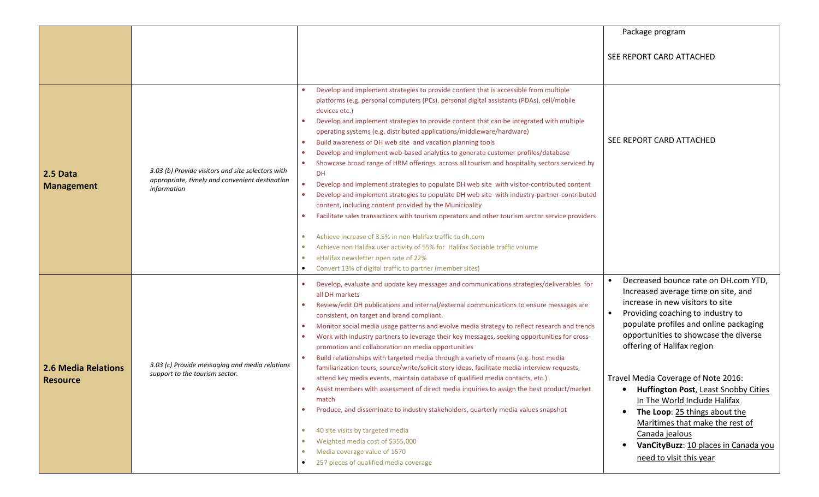|                                               |                                                                                                                    |                                                                                                                                                                                                                                                                                                                                                                                                                                                                                                                                                                                                                                                                                                                                                                                                                                                                                                                                                                                                                                                                                                                                                                                                                                                                                                                                                                       | Package program                                                                                                                                                                                                                                                                                                                                                                                                                                                                                                                               |
|-----------------------------------------------|--------------------------------------------------------------------------------------------------------------------|-----------------------------------------------------------------------------------------------------------------------------------------------------------------------------------------------------------------------------------------------------------------------------------------------------------------------------------------------------------------------------------------------------------------------------------------------------------------------------------------------------------------------------------------------------------------------------------------------------------------------------------------------------------------------------------------------------------------------------------------------------------------------------------------------------------------------------------------------------------------------------------------------------------------------------------------------------------------------------------------------------------------------------------------------------------------------------------------------------------------------------------------------------------------------------------------------------------------------------------------------------------------------------------------------------------------------------------------------------------------------|-----------------------------------------------------------------------------------------------------------------------------------------------------------------------------------------------------------------------------------------------------------------------------------------------------------------------------------------------------------------------------------------------------------------------------------------------------------------------------------------------------------------------------------------------|
|                                               |                                                                                                                    |                                                                                                                                                                                                                                                                                                                                                                                                                                                                                                                                                                                                                                                                                                                                                                                                                                                                                                                                                                                                                                                                                                                                                                                                                                                                                                                                                                       | SEE REPORT CARD ATTACHED                                                                                                                                                                                                                                                                                                                                                                                                                                                                                                                      |
| 2.5 Data<br><b>Management</b>                 | 3.03 (b) Provide visitors and site selectors with<br>appropriate, timely and convenient destination<br>information | Develop and implement strategies to provide content that is accessible from multiple<br>platforms (e.g. personal computers (PCs), personal digital assistants (PDAs), cell/mobile<br>devices etc.)<br>Develop and implement strategies to provide content that can be integrated with multiple<br>$\bullet$<br>operating systems (e.g. distributed applications/middleware/hardware)<br>Build awareness of DH web site and vacation planning tools<br>$\bullet$<br>Develop and implement web-based analytics to generate customer profiles/database<br>$\bullet$<br>Showcase broad range of HRM offerings across all tourism and hospitality sectors serviced by<br><b>DH</b><br>Develop and implement strategies to populate DH web site with visitor-contributed content<br>$\bullet$<br>Develop and implement strategies to populate DH web site with industry-partner-contributed<br>$\bullet$<br>content, including content provided by the Municipality<br>Facilitate sales transactions with tourism operators and other tourism sector service providers<br>$\bullet$<br>Achieve increase of 3.5% in non-Halifax traffic to dh.com<br>$\bullet$<br>Achieve non Halifax user activity of 55% for Halifax Sociable traffic volume<br>$\bullet$<br>eHalifax newsletter open rate of 22%<br>$\bullet$<br>Convert 13% of digital traffic to partner (member sites) | SEE REPORT CARD ATTACHED                                                                                                                                                                                                                                                                                                                                                                                                                                                                                                                      |
| <b>2.6 Media Relations</b><br><b>Resource</b> | 3.03 (c) Provide messaging and media relations<br>support to the tourism sector.                                   | Develop, evaluate and update key messages and communications strategies/deliverables for<br>$\bullet$<br>all DH markets<br>Review/edit DH publications and internal/external communications to ensure messages are<br>$\bullet$<br>consistent, on target and brand compliant.<br>Monitor social media usage patterns and evolve media strategy to reflect research and trends<br>$\bullet$<br>Work with industry partners to leverage their key messages, seeking opportunities for cross-<br>$\bullet$<br>promotion and collaboration on media opportunities<br>Build relationships with targeted media through a variety of means (e.g. host media<br>$\bullet$<br>familiarization tours, source/write/solicit story ideas, facilitate media interview requests,<br>attend key media events, maintain database of qualified media contacts, etc.)<br>Assist members with assessment of direct media inquiries to assign the best product/market<br>match<br>Produce, and disseminate to industry stakeholders, quarterly media values snapshot<br>$\bullet$<br>40 site visits by targeted media<br>$\bullet$<br>Weighted media cost of \$355,000<br>$\bullet$<br>Media coverage value of 1570<br>$\bullet$<br>257 pieces of qualified media coverage<br>$\bullet$                                                                                                   | Decreased bounce rate on DH.com YTD,<br>Increased average time on site, and<br>increase in new visitors to site<br>Providing coaching to industry to<br>populate profiles and online packaging<br>opportunities to showcase the diverse<br>offering of Halifax region<br>Travel Media Coverage of Note 2016:<br>Huffington Post, Least Snobby Cities<br>In The World Include Halifax<br>The Loop: 25 things about the<br>Maritimes that make the rest of<br>Canada jealous<br>VanCityBuzz: 10 places in Canada you<br>need to visit this year |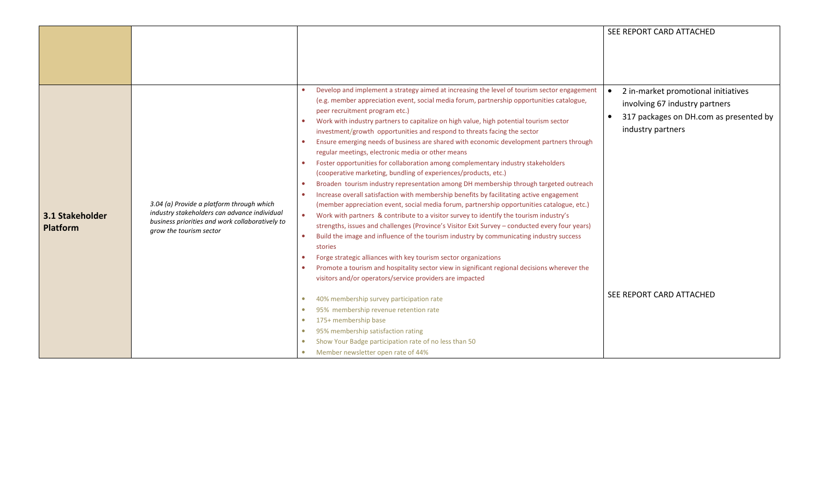|                                    |                                                                                                                                                                         |                                                                                                                                                                                                                                                                                                                                                                                                                                                                                                                                                                                                                                                                                                                                                                                                                                                                                                                                                                                                                                                                                                                                                                                                                                                                                                                                                                                                                                                                                                                                                                                                                                                                                                                                                                                                                                                                                                                                                        | SEE REPORT CARD ATTACHED                                                                                                                                         |
|------------------------------------|-------------------------------------------------------------------------------------------------------------------------------------------------------------------------|--------------------------------------------------------------------------------------------------------------------------------------------------------------------------------------------------------------------------------------------------------------------------------------------------------------------------------------------------------------------------------------------------------------------------------------------------------------------------------------------------------------------------------------------------------------------------------------------------------------------------------------------------------------------------------------------------------------------------------------------------------------------------------------------------------------------------------------------------------------------------------------------------------------------------------------------------------------------------------------------------------------------------------------------------------------------------------------------------------------------------------------------------------------------------------------------------------------------------------------------------------------------------------------------------------------------------------------------------------------------------------------------------------------------------------------------------------------------------------------------------------------------------------------------------------------------------------------------------------------------------------------------------------------------------------------------------------------------------------------------------------------------------------------------------------------------------------------------------------------------------------------------------------------------------------------------------------|------------------------------------------------------------------------------------------------------------------------------------------------------------------|
|                                    |                                                                                                                                                                         |                                                                                                                                                                                                                                                                                                                                                                                                                                                                                                                                                                                                                                                                                                                                                                                                                                                                                                                                                                                                                                                                                                                                                                                                                                                                                                                                                                                                                                                                                                                                                                                                                                                                                                                                                                                                                                                                                                                                                        |                                                                                                                                                                  |
|                                    |                                                                                                                                                                         |                                                                                                                                                                                                                                                                                                                                                                                                                                                                                                                                                                                                                                                                                                                                                                                                                                                                                                                                                                                                                                                                                                                                                                                                                                                                                                                                                                                                                                                                                                                                                                                                                                                                                                                                                                                                                                                                                                                                                        |                                                                                                                                                                  |
|                                    |                                                                                                                                                                         |                                                                                                                                                                                                                                                                                                                                                                                                                                                                                                                                                                                                                                                                                                                                                                                                                                                                                                                                                                                                                                                                                                                                                                                                                                                                                                                                                                                                                                                                                                                                                                                                                                                                                                                                                                                                                                                                                                                                                        |                                                                                                                                                                  |
| 3.1 Stakeholder<br><b>Platform</b> | 3.04 (a) Provide a platform through which<br>industry stakeholders can advance individual<br>business priorities and work collaboratively to<br>grow the tourism sector | Develop and implement a strategy aimed at increasing the level of tourism sector engagement<br>(e.g. member appreciation event, social media forum, partnership opportunities catalogue,<br>peer recruitment program etc.)<br>Work with industry partners to capitalize on high value, high potential tourism sector<br>$\bullet$<br>investment/growth opportunities and respond to threats facing the sector<br>Ensure emerging needs of business are shared with economic development partners through<br>$\bullet$<br>regular meetings, electronic media or other means<br>Foster opportunities for collaboration among complementary industry stakeholders<br>$\bullet$<br>(cooperative marketing, bundling of experiences/products, etc.)<br>Broaden tourism industry representation among DH membership through targeted outreach<br>$\bullet$<br>Increase overall satisfaction with membership benefits by facilitating active engagement<br>$\bullet$<br>(member appreciation event, social media forum, partnership opportunities catalogue, etc.)<br>Work with partners & contribute to a visitor survey to identify the tourism industry's<br>$\bullet$<br>strengths, issues and challenges (Province's Visitor Exit Survey - conducted every four years)<br>Build the image and influence of the tourism industry by communicating industry success<br>$\bullet$<br>stories<br>Forge strategic alliances with key tourism sector organizations<br>$\bullet$<br>Promote a tourism and hospitality sector view in significant regional decisions wherever the<br>$\bullet$<br>visitors and/or operators/service providers are impacted<br>40% membership survey participation rate<br>95% membership revenue retention rate<br>$\bullet$<br>175+ membership base<br>$\bullet$<br>95% membership satisfaction rating<br>$\bullet$<br>Show Your Badge participation rate of no less than 50<br>$\bullet$<br>Member newsletter open rate of 44% | 2 in-market promotional initiatives<br>involving 67 industry partners<br>317 packages on DH.com as presented by<br>industry partners<br>SEE REPORT CARD ATTACHED |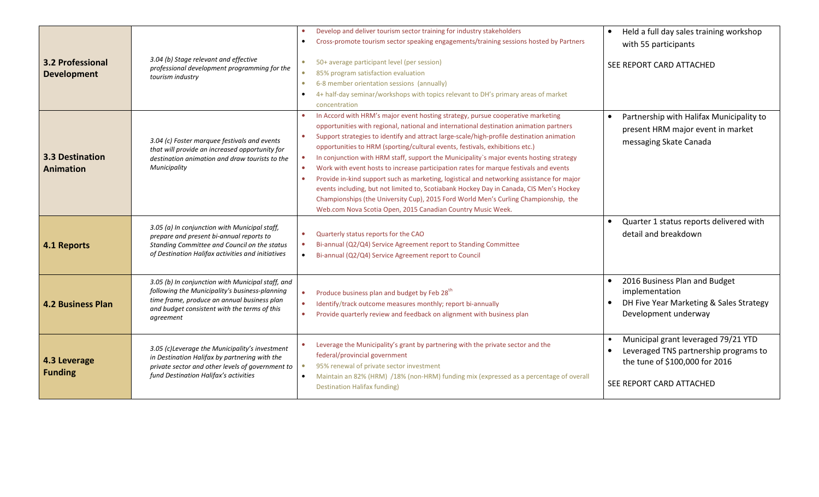| <b>3.2 Professional</b><br><b>Development</b> | 3.04 (b) Stage relevant and effective<br>professional development programming for the<br>tourism industry                                                                                                         | Develop and deliver tourism sector training for industry stakeholders<br>$\bullet$<br>Cross-promote tourism sector speaking engagements/training sessions hosted by Partners<br>$\bullet$<br>$\bullet$<br>50+ average participant level (per session)<br>85% program satisfaction evaluation<br>6-8 member orientation sessions (annually)<br>$\bullet$<br>4+ half-day seminar/workshops with topics relevant to DH's primary areas of market<br>$\bullet$<br>concentration                                                                                                                                                                                                                                                                                                                                                                                                                                                     | Held a full day sales training workshop<br>with 55 participants<br>SEE REPORT CARD ATTACHED                                                        |
|-----------------------------------------------|-------------------------------------------------------------------------------------------------------------------------------------------------------------------------------------------------------------------|---------------------------------------------------------------------------------------------------------------------------------------------------------------------------------------------------------------------------------------------------------------------------------------------------------------------------------------------------------------------------------------------------------------------------------------------------------------------------------------------------------------------------------------------------------------------------------------------------------------------------------------------------------------------------------------------------------------------------------------------------------------------------------------------------------------------------------------------------------------------------------------------------------------------------------|----------------------------------------------------------------------------------------------------------------------------------------------------|
| <b>3.3 Destination</b><br>Animation           | 3.04 (c) Foster marquee festivals and events<br>that will provide an increased opportunity for<br>destination animation and draw tourists to the<br>Municipality<br>3.05 (a) In conjunction with Municipal staff, | In Accord with HRM's major event hosting strategy, pursue cooperative marketing<br>opportunities with regional, national and international destination animation partners<br>Support strategies to identify and attract large-scale/high-profile destination animation<br>$\bullet$<br>opportunities to HRM (sporting/cultural events, festivals, exhibitions etc.)<br>In conjunction with HRM staff, support the Municipality's major events hosting strategy<br>Work with event hosts to increase participation rates for marque festivals and events<br>$\bullet$<br>Provide in-kind support such as marketing, logistical and networking assistance for major<br>$\bullet$<br>events including, but not limited to, Scotiabank Hockey Day in Canada, CIS Men's Hockey<br>Championships (the University Cup), 2015 Ford World Men's Curling Championship, the<br>Web.com Nova Scotia Open, 2015 Canadian Country Music Week. | Partnership with Halifax Municipality to<br>present HRM major event in market<br>messaging Skate Canada<br>Quarter 1 status reports delivered with |
| 4.1 Reports                                   | prepare and present bi-annual reports to<br>Standing Committee and Council on the status<br>of Destination Halifax activities and initiatives                                                                     | Quarterly status reports for the CAO<br>$\bullet$<br>Bi-annual (Q2/Q4) Service Agreement report to Standing Committee<br>$\bullet$<br>Bi-annual (Q2/Q4) Service Agreement report to Council<br>$\bullet$                                                                                                                                                                                                                                                                                                                                                                                                                                                                                                                                                                                                                                                                                                                        | detail and breakdown                                                                                                                               |
| <b>4.2 Business Plan</b>                      | 3.05 (b) In conjunction with Municipal staff, and<br>following the Municipality's business-planning<br>time frame, produce an annual business plan<br>and budget consistent with the terms of this<br>agreement   | Produce business plan and budget by Feb 28 <sup>th</sup><br>Identify/track outcome measures monthly; report bi-annually<br>$\bullet$<br>Provide quarterly review and feedback on alignment with business plan<br>$\bullet$                                                                                                                                                                                                                                                                                                                                                                                                                                                                                                                                                                                                                                                                                                      | 2016 Business Plan and Budget<br>implementation<br>DH Five Year Marketing & Sales Strategy<br>Development underway                                 |
| 4.3 Leverage<br><b>Funding</b>                | 3.05 (c)Leverage the Municipality's investment<br>in Destination Halifax by partnering with the<br>private sector and other levels of government to<br>fund Destination Halifax's activities                      | Leverage the Municipality's grant by partnering with the private sector and the<br>federal/provincial government<br>95% renewal of private sector investment<br>Maintain an 82% (HRM) /18% (non-HRM) funding mix (expressed as a percentage of overall<br>$\bullet$<br><b>Destination Halifax funding)</b>                                                                                                                                                                                                                                                                                                                                                                                                                                                                                                                                                                                                                      | Municipal grant leveraged 79/21 YTD<br>Leveraged TNS partnership programs to<br>the tune of \$100,000 for 2016<br>SEE REPORT CARD ATTACHED         |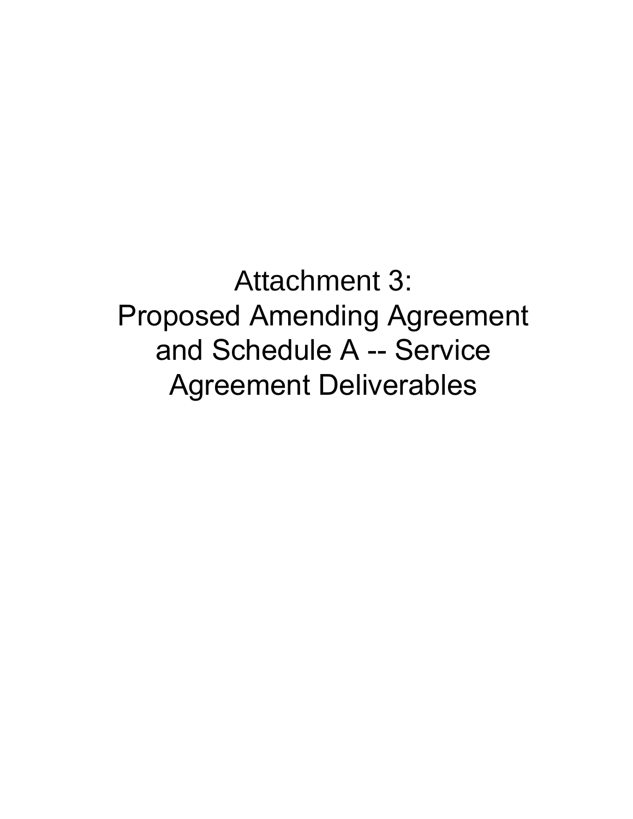Attachment 3: Proposed Amending Agreement and Schedule A -- Service Agreement Deliverables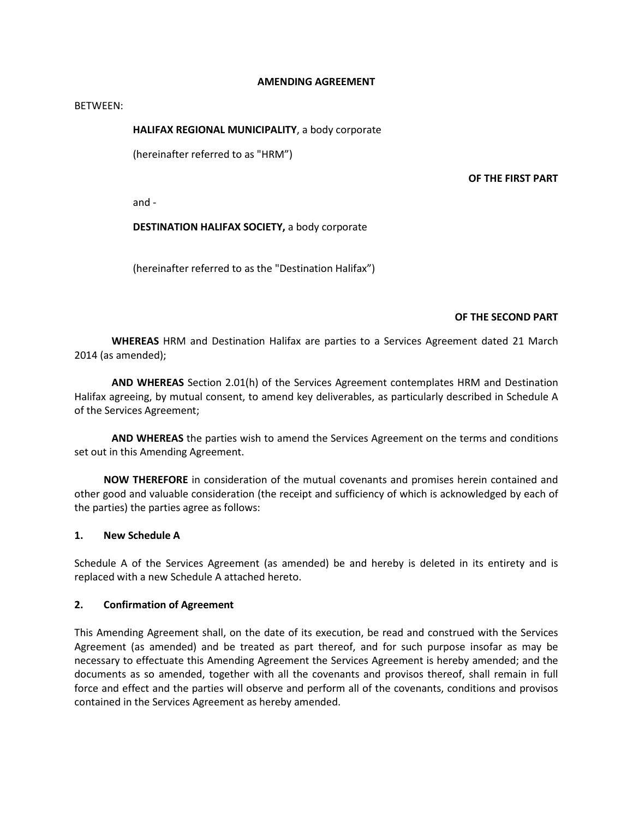## **AMENDING AGREEMENT**

#### BETWEEN:

## **HALIFAX REGIONAL MUNICIPALITY**, a body corporate

(hereinafter referred to as "HRM")

#### **OF THE FIRST PART**

and -

## **DESTINATION HALIFAX SOCIETY,** a body corporate

(hereinafter referred to as the "Destination Halifax")

### **OF THE SECOND PART**

**WHEREAS** HRM and Destination Halifax are parties to a Services Agreement dated 21 March 2014 (as amended);

**AND WHEREAS** Section 2.01(h) of the Services Agreement contemplates HRM and Destination Halifax agreeing, by mutual consent, to amend key deliverables, as particularly described in Schedule A of the Services Agreement;

**AND WHEREAS** the parties wish to amend the Services Agreement on the terms and conditions set out in this Amending Agreement.

**NOW THEREFORE** in consideration of the mutual covenants and promises herein contained and other good and valuable consideration (the receipt and sufficiency of which is acknowledged by each of the parties) the parties agree as follows:

### **1. New Schedule A**

Schedule A of the Services Agreement (as amended) be and hereby is deleted in its entirety and is replaced with a new Schedule A attached hereto.

### **2. Confirmation of Agreement**

This Amending Agreement shall, on the date of its execution, be read and construed with the Services Agreement (as amended) and be treated as part thereof, and for such purpose insofar as may be necessary to effectuate this Amending Agreement the Services Agreement is hereby amended; and the documents as so amended, together with all the covenants and provisos thereof, shall remain in full force and effect and the parties will observe and perform all of the covenants, conditions and provisos contained in the Services Agreement as hereby amended.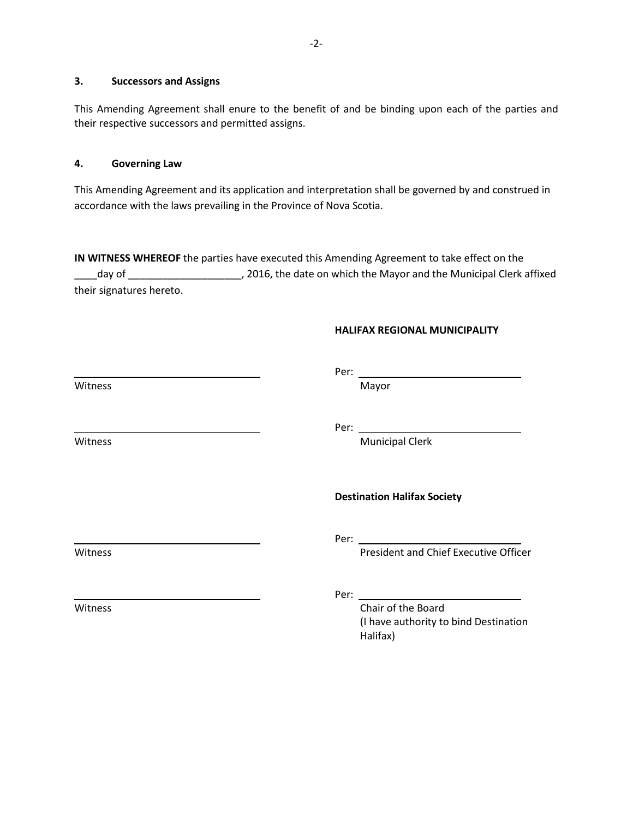## **3. Successors and Assigns**

This Amending Agreement shall enure to the benefit of and be binding upon each of the parties and their respective successors and permitted assigns.

### **4. Governing Law**

This Amending Agreement and its application and interpretation shall be governed by and construed in accordance with the laws prevailing in the Province of Nova Scotia.

**IN WITNESS WHEREOF** the parties have executed this Amending Agreement to take effect on the day of \_\_\_\_\_\_\_\_\_\_\_\_\_\_\_\_\_\_\_\_\_\_\_\_\_, 2016, the date on which the Mayor and the Municipal Clerk affixed their signatures hereto.

### **HALIFAX REGIONAL MUNICIPALITY**

Witness and the control of the control of the Mayor

Per: \_

Per:

Witness **Municipal Clerk** Municipal Clerk

**Destination Halifax Society** 

Per:

Witness **President and Chief Executive Officer** 

Per:

Witness **Chair of the Board** (I have authority to bind Destination Halifax)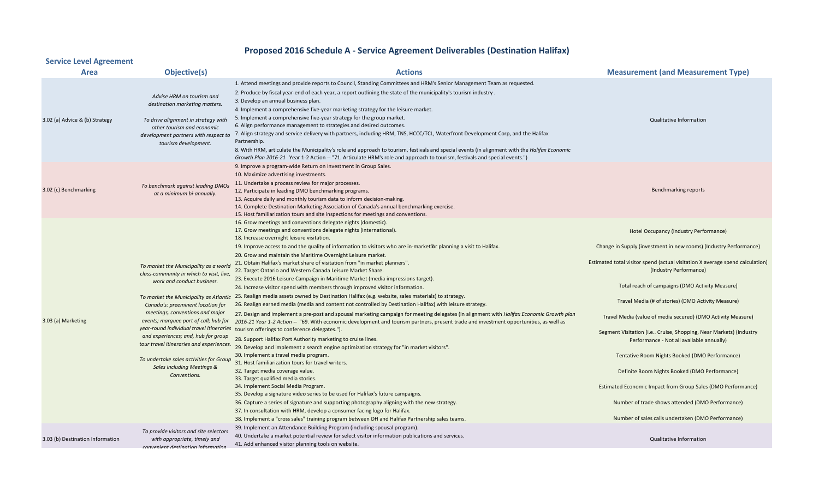# **Proposed 2016 Schedule A - Service Agreement Deliverables (Destination Halifax)**

# **Service Level Agreement**

| <b>Area</b>                      | Objective(s)                                                                                                                                                                                                                                                                                                                                                                                                                                                                                           | <b>Actions</b>                                                                                                                                                                                                                                                                                                                                                                                                                                                                                                                                                                                                                                                                                                                                                                                                                                                                                                                                          | <b>Measurement (and Measurement Type)</b>                                                                        |
|----------------------------------|--------------------------------------------------------------------------------------------------------------------------------------------------------------------------------------------------------------------------------------------------------------------------------------------------------------------------------------------------------------------------------------------------------------------------------------------------------------------------------------------------------|---------------------------------------------------------------------------------------------------------------------------------------------------------------------------------------------------------------------------------------------------------------------------------------------------------------------------------------------------------------------------------------------------------------------------------------------------------------------------------------------------------------------------------------------------------------------------------------------------------------------------------------------------------------------------------------------------------------------------------------------------------------------------------------------------------------------------------------------------------------------------------------------------------------------------------------------------------|------------------------------------------------------------------------------------------------------------------|
| 3.02 (a) Advice & (b) Strategy   | Advise HRM on tourism and<br>destination marketing matters.<br>To drive alignment in strategy with<br>other tourism and economic<br>development partners with respect to<br>tourism development.                                                                                                                                                                                                                                                                                                       | 1. Attend meetings and provide reports to Council, Standing Committees and HRM's Senior Management Team as requested.<br>2. Produce by fiscal year-end of each year, a report outlining the state of the municipality's tourism industry<br>3. Develop an annual business plan.<br>4. Implement a comprehensive five-year marketing strategy for the leisure market.<br>5. Implement a comprehensive five-year strategy for the group market.<br>6. Align performance management to strategies and desired outcomes.<br>7. Align strategy and service delivery with partners, including HRM, TNS, HCCC/TCL, Waterfront Development Corp, and the Halifax<br>Partnership.<br>8. With HRM, articulate the Municipality's role and approach to tourism, festivals and special events (in alignment with the Halifax Economic<br>Growth Plan 2016-21 Year 1-2 Action -- "71. Articulate HRM's role and approach to tourism, festivals and special events.") | <b>Qualitative Information</b>                                                                                   |
| 3.02 (c) Benchmarking            | To benchmark against leading DMO:<br>at a minimum bi-annually.                                                                                                                                                                                                                                                                                                                                                                                                                                         | 9. Improve a program-wide Return on Investment in Group Sales.<br>10. Maximize advertising investments.<br>11. Undertake a process review for major processes.<br>12. Participate in leading DMO benchmarking programs.<br>13. Acquire daily and monthly tourism data to inform decision-making.<br>14. Complete Destination Marketing Association of Canada's annual benchmarking exercise.<br>15. Host familiarization tours and site inspections for meetings and conventions.                                                                                                                                                                                                                                                                                                                                                                                                                                                                       | Benchmarking reports                                                                                             |
| 3.03 (a) Marketing               | To market the Municipality as a world<br>class-community in which to visit, live,<br>work and conduct business.<br>Canada's: preeminent location for<br>meetings, conventions and major<br>events; marquee port of call; hub for<br>year-round individual travel itineraries tourism offerings to conference delegates.").<br>and experiences; and, hub for group<br>tour travel itineraries and experiences.<br>To undertake sales activities for Group<br>Sales including Meetings &<br>Conventions. | 16. Grow meetings and conventions delegate nights (domestic).<br>17. Grow meetings and conventions delegate nights (international).<br>18. Increase overnight leisure visitation.<br>19. Improve access to and the quality of information to visitors who are in-market Torplanning a visit to Halifax.                                                                                                                                                                                                                                                                                                                                                                                                                                                                                                                                                                                                                                                 | Hotel Occupancy (Industry Performance)<br>Change in Supply (investment in new rooms) (Industry Performance)      |
|                                  |                                                                                                                                                                                                                                                                                                                                                                                                                                                                                                        | 20. Grow and maintain the Maritime Overnight Leisure market.<br>21. Obtain Halifax's market share of visitation from "in market planners".<br>22. Target Ontario and Western Canada Leisure Market Share.<br>23. Execute 2016 Leisure Campaign in Maritime Market (media impressions target).                                                                                                                                                                                                                                                                                                                                                                                                                                                                                                                                                                                                                                                           | Estimated total visitor spend (actual visitation X average spend calculation)<br>(Industry Performance)          |
|                                  |                                                                                                                                                                                                                                                                                                                                                                                                                                                                                                        | 24. Increase visitor spend with members through improved visitor information.<br>To market the Municipality as Atlantic 25. Realign media assets owned by Destination Halifax (e.g. website, sales materials) to strategy.                                                                                                                                                                                                                                                                                                                                                                                                                                                                                                                                                                                                                                                                                                                              | Total reach of campaigns (DMO Activity Measure)<br>Travel Media (# of stories) (DMO Activity Measure)            |
|                                  |                                                                                                                                                                                                                                                                                                                                                                                                                                                                                                        | 26. Realign earned media (media and content not controlled by Destination Halifax) with leisure strategy.<br>27. Design and implement a pre-post and spousal marketing campaign for meeting delegates (in alignment with Halifax Economic Growth plan<br>2016-21 Year 1-2 Action -- "69. With economic development and tourism partners, present trade and investment opportunities, as well as                                                                                                                                                                                                                                                                                                                                                                                                                                                                                                                                                         | Travel Media (value of media secured) (DMO Activity Measure)                                                     |
|                                  |                                                                                                                                                                                                                                                                                                                                                                                                                                                                                                        | 28. Support Halifax Port Authority marketing to cruise lines.<br>29. Develop and implement a search engine optimization strategy for "in market visitors".                                                                                                                                                                                                                                                                                                                                                                                                                                                                                                                                                                                                                                                                                                                                                                                              | Segment Visitation (i.e Cruise, Shopping, Near Markets) (Industry<br>Performance - Not all available annually)   |
|                                  |                                                                                                                                                                                                                                                                                                                                                                                                                                                                                                        | 30. Implement a travel media program.<br>31. Host familiarization tours for travel writers.                                                                                                                                                                                                                                                                                                                                                                                                                                                                                                                                                                                                                                                                                                                                                                                                                                                             | Tentative Room Nights Booked (DMO Performance)                                                                   |
|                                  |                                                                                                                                                                                                                                                                                                                                                                                                                                                                                                        | 32. Target media coverage value.<br>33. Target qualified media stories.                                                                                                                                                                                                                                                                                                                                                                                                                                                                                                                                                                                                                                                                                                                                                                                                                                                                                 | Definite Room Nights Booked (DMO Performance)                                                                    |
|                                  |                                                                                                                                                                                                                                                                                                                                                                                                                                                                                                        | 34. Implement Social Media Program.<br>35. Develop a signature video series to be used for Halifax's future campaigns.<br>36. Capture a series of signature and supporting photography aligning with the new strategy.                                                                                                                                                                                                                                                                                                                                                                                                                                                                                                                                                                                                                                                                                                                                  | Estimated Economic Impact from Group Sales (DMO Performance)<br>Number of trade shows attended (DMO Performance) |
|                                  |                                                                                                                                                                                                                                                                                                                                                                                                                                                                                                        | 37. In consultation with HRM, develop a consumer facing logo for Halifax.<br>38. Implement a "cross sales" training program between DH and Halifax Partnership sales teams.                                                                                                                                                                                                                                                                                                                                                                                                                                                                                                                                                                                                                                                                                                                                                                             | Number of sales calls undertaken (DMO Performance)                                                               |
| 3.03 (b) Destination Information | To provide visitors and site selectors<br>with appropriate, timely and<br>convenient destination information                                                                                                                                                                                                                                                                                                                                                                                           | 39. Implement an Attendance Building Program (including spousal program).<br>40. Undertake a market potential review for select visitor information publications and services.<br>41. Add enhanced visitor planning tools on website.                                                                                                                                                                                                                                                                                                                                                                                                                                                                                                                                                                                                                                                                                                                   | Qualitative Information                                                                                          |